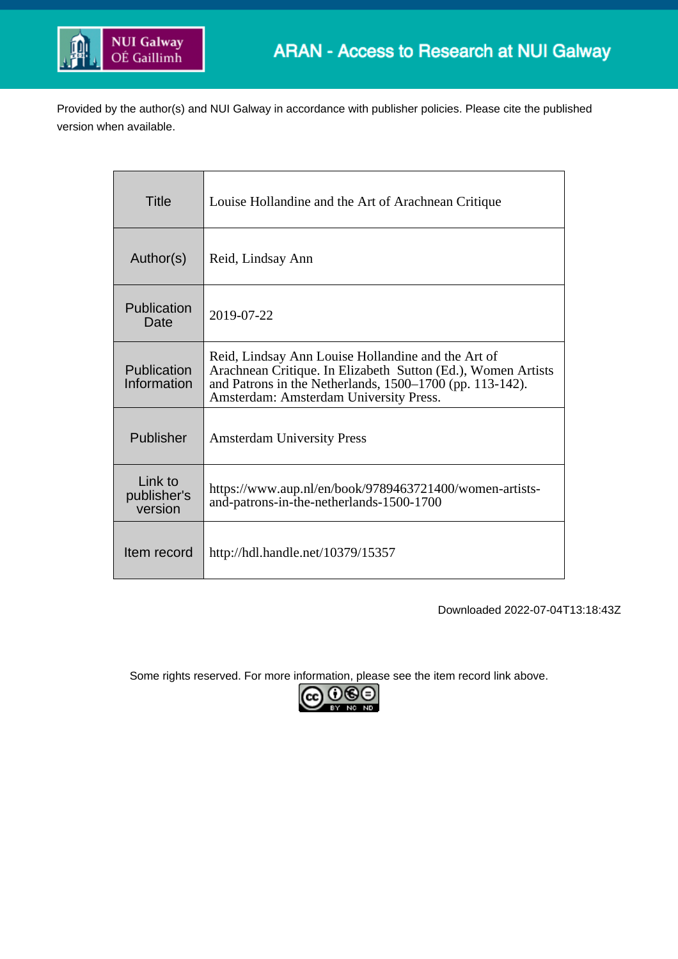

Provided by the author(s) and NUI Galway in accordance with publisher policies. Please cite the published version when available.

| Title                             | Louise Hollandine and the Art of Arachnean Critique                                                                                                                                                                      |
|-----------------------------------|--------------------------------------------------------------------------------------------------------------------------------------------------------------------------------------------------------------------------|
| Author(s)                         | Reid, Lindsay Ann                                                                                                                                                                                                        |
| Publication<br>Date               | 2019-07-22                                                                                                                                                                                                               |
| Publication<br>Information        | Reid, Lindsay Ann Louise Hollandine and the Art of<br>Arachnean Critique. In Elizabeth Sutton (Ed.), Women Artists<br>and Patrons in the Netherlands, 1500-1700 (pp. 113-142).<br>Amsterdam: Amsterdam University Press. |
| Publisher                         | <b>Amsterdam University Press</b>                                                                                                                                                                                        |
| Link to<br>publisher's<br>version | https://www.aup.nl/en/book/9789463721400/women-artists-<br>and-patrons-in-the-netherlands-1500-1700                                                                                                                      |
| Item record                       | http://hdl.handle.net/10379/15357                                                                                                                                                                                        |

Downloaded 2022-07-04T13:18:43Z

Some rights reserved. For more information, please see the item record link above.

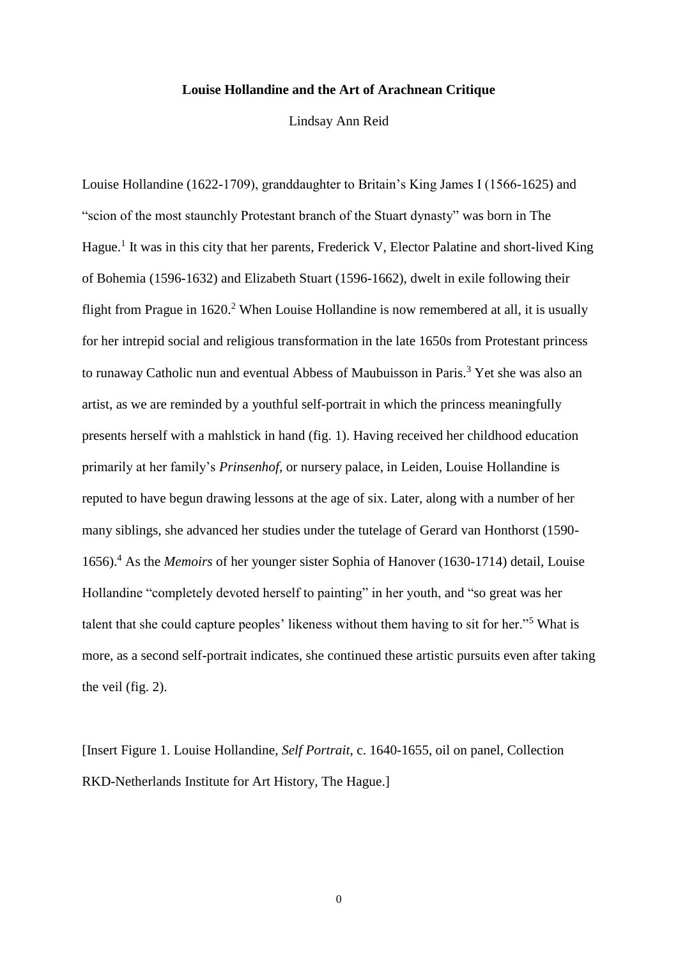#### **Louise Hollandine and the Art of Arachnean Critique**

Lindsay Ann Reid

Louise Hollandine (1622-1709), granddaughter to Britain's King James I (1566-1625) and "scion of the most staunchly Protestant branch of the Stuart dynasty" was born in The Hague.<sup>1</sup> It was in this city that her parents, Frederick V, Elector Palatine and short-lived King of Bohemia (1596-1632) and Elizabeth Stuart (1596-1662), dwelt in exile following their flight from Prague in  $1620<sup>2</sup>$  When Louise Hollandine is now remembered at all, it is usually for her intrepid social and religious transformation in the late 1650s from Protestant princess to runaway Catholic nun and eventual Abbess of Maubuisson in Paris.<sup>3</sup> Yet she was also an artist, as we are reminded by a youthful self-portrait in which the princess meaningfully presents herself with a mahlstick in hand (fig. 1). Having received her childhood education primarily at her family's *Prinsenhof*, or nursery palace, in Leiden, Louise Hollandine is reputed to have begun drawing lessons at the age of six. Later, along with a number of her many siblings, she advanced her studies under the tutelage of Gerard van Honthorst (1590- 1656).<sup>4</sup> As the *Memoirs* of her younger sister Sophia of Hanover (1630-1714) detail, Louise Hollandine "completely devoted herself to painting" in her youth, and "so great was her talent that she could capture peoples' likeness without them having to sit for her."<sup>5</sup> What is more, as a second self-portrait indicates, she continued these artistic pursuits even after taking the veil (fig. 2).

[Insert Figure 1. Louise Hollandine, *Self Portrait*, c. 1640-1655, oil on panel, Collection RKD-Netherlands Institute for Art History, The Hague.]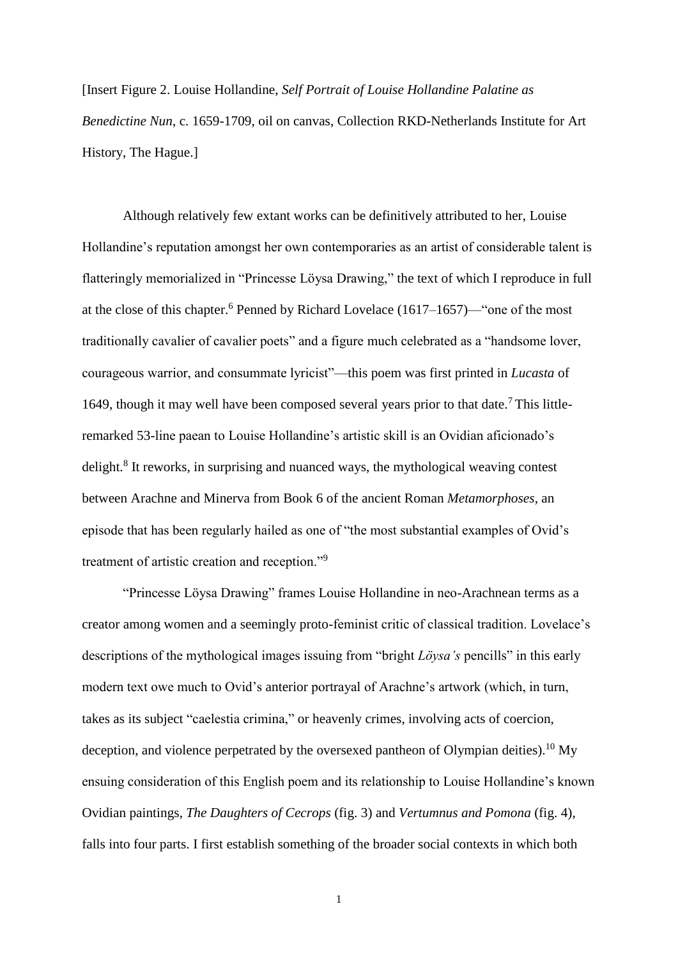[Insert Figure 2. Louise Hollandine, *Self Portrait of Louise Hollandine Palatine as Benedictine Nun*, c. 1659-1709, oil on canvas, Collection RKD-Netherlands Institute for Art History, The Hague.]

Although relatively few extant works can be definitively attributed to her, Louise Hollandine's reputation amongst her own contemporaries as an artist of considerable talent is flatteringly memorialized in "Princesse Löysa Drawing," the text of which I reproduce in full at the close of this chapter.<sup>6</sup> Penned by Richard Lovelace  $(1617-1657)$ —"one of the most traditionally cavalier of cavalier poets" and a figure much celebrated as a "handsome lover, courageous warrior, and consummate lyricist"—this poem was first printed in *Lucasta* of 1649, though it may well have been composed several years prior to that date.<sup>7</sup> This littleremarked 53-line paean to Louise Hollandine's artistic skill is an Ovidian aficionado's delight.<sup>8</sup> It reworks, in surprising and nuanced ways, the mythological weaving contest between Arachne and Minerva from Book 6 of the ancient Roman *Metamorphoses*, an episode that has been regularly hailed as one of "the most substantial examples of Ovid's treatment of artistic creation and reception."<sup>9</sup>

"Princesse Löysa Drawing" frames Louise Hollandine in neo-Arachnean terms as a creator among women and a seemingly proto-feminist critic of classical tradition. Lovelace's descriptions of the mythological images issuing from "bright *Löysa's* pencills" in this early modern text owe much to Ovid's anterior portrayal of Arachne's artwork (which, in turn, takes as its subject "caelestia crimina," or heavenly crimes, involving acts of coercion, deception, and violence perpetrated by the oversexed pantheon of Olympian deities).<sup>10</sup> My ensuing consideration of this English poem and its relationship to Louise Hollandine's known Ovidian paintings, *The Daughters of Cecrops* (fig. 3) and *Vertumnus and Pomona* (fig. 4), falls into four parts. I first establish something of the broader social contexts in which both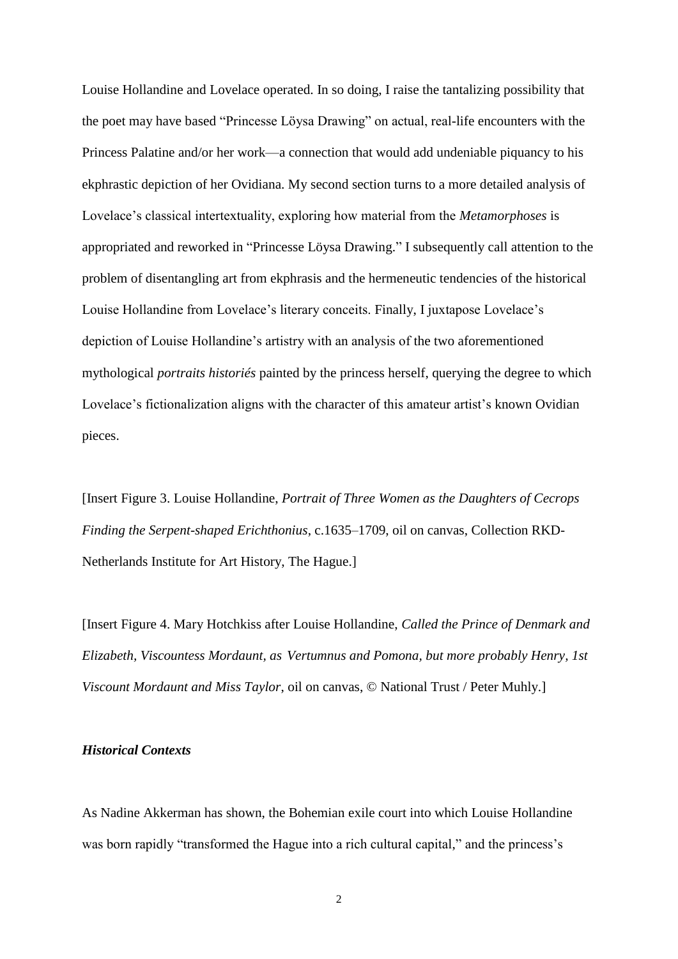Louise Hollandine and Lovelace operated. In so doing, I raise the tantalizing possibility that the poet may have based "Princesse Löysa Drawing" on actual, real-life encounters with the Princess Palatine and/or her work—a connection that would add undeniable piquancy to his ekphrastic depiction of her Ovidiana. My second section turns to a more detailed analysis of Lovelace's classical intertextuality, exploring how material from the *Metamorphoses* is appropriated and reworked in "Princesse Löysa Drawing." I subsequently call attention to the problem of disentangling art from ekphrasis and the hermeneutic tendencies of the historical Louise Hollandine from Lovelace's literary conceits. Finally, I juxtapose Lovelace's depiction of Louise Hollandine's artistry with an analysis of the two aforementioned mythological *portraits historiés* painted by the princess herself, querying the degree to which Lovelace's fictionalization aligns with the character of this amateur artist's known Ovidian pieces.

[Insert Figure 3. Louise Hollandine, *Portrait of Three Women as the Daughters of Cecrops Finding the Serpent-shaped Erichthonius*, c.1635–1709, oil on canvas, Collection RKD-Netherlands Institute for Art History, The Hague.]

[Insert Figure 4. Mary Hotchkiss after Louise Hollandine, *Called the Prince of Denmark and Elizabeth, Viscountess Mordaunt, as Vertumnus and Pomona, but more probably Henry, 1st Viscount Mordaunt and Miss Taylor*, oil on canvas, © National Trust / Peter Muhly.]

### *Historical Contexts*

As Nadine Akkerman has shown, the Bohemian exile court into which Louise Hollandine was born rapidly "transformed the Hague into a rich cultural capital," and the princess's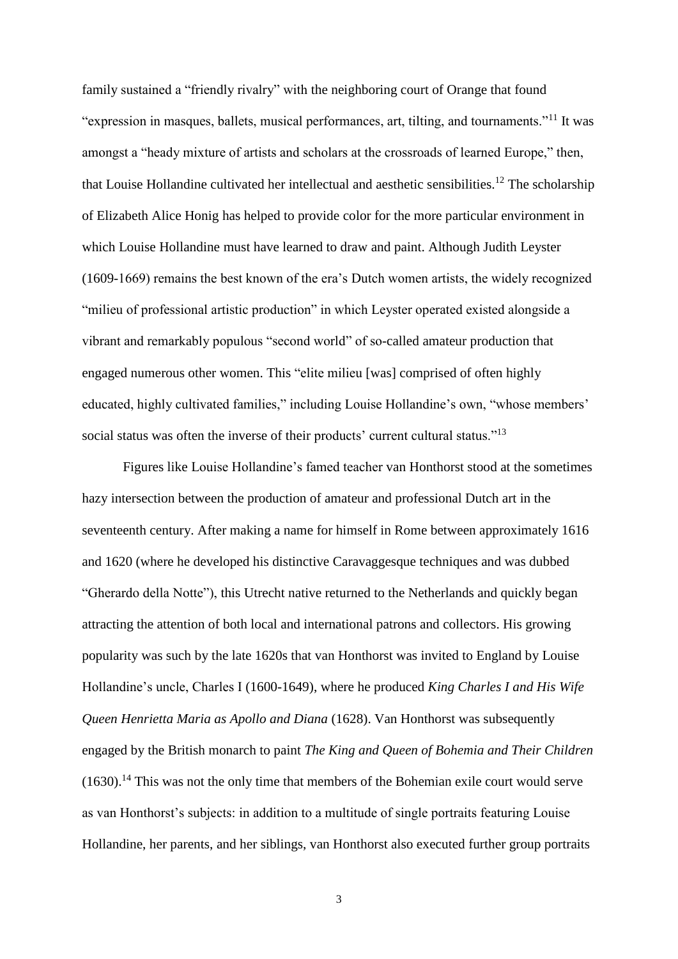family sustained a "friendly rivalry" with the neighboring court of Orange that found "expression in masques, ballets, musical performances, art, tilting, and tournaments."<sup>11</sup> It was amongst a "heady mixture of artists and scholars at the crossroads of learned Europe," then, that Louise Hollandine cultivated her intellectual and aesthetic sensibilities.<sup>12</sup> The scholarship of Elizabeth Alice Honig has helped to provide color for the more particular environment in which Louise Hollandine must have learned to draw and paint. Although Judith Leyster (1609-1669) remains the best known of the era's Dutch women artists, the widely recognized "milieu of professional artistic production" in which Leyster operated existed alongside a vibrant and remarkably populous "second world" of so-called amateur production that engaged numerous other women. This "elite milieu [was] comprised of often highly educated, highly cultivated families," including Louise Hollandine's own, "whose members' social status was often the inverse of their products' current cultural status."<sup>13</sup>

Figures like Louise Hollandine's famed teacher van Honthorst stood at the sometimes hazy intersection between the production of amateur and professional Dutch art in the seventeenth century. After making a name for himself in Rome between approximately 1616 and 1620 (where he developed his distinctive Caravaggesque techniques and was dubbed "Gherardo della Notte"), this Utrecht native returned to the Netherlands and quickly began attracting the attention of both local and international patrons and collectors. His growing popularity was such by the late 1620s that van Honthorst was invited to England by Louise Hollandine's uncle, Charles I (1600-1649), where he produced *King Charles I and His Wife Queen Henrietta Maria as Apollo and Diana* (1628). Van Honthorst was subsequently engaged by the British monarch to paint *The King and Queen of Bohemia and Their Children*  $(1630).$ <sup>14</sup> This was not the only time that members of the Bohemian exile court would serve as van Honthorst's subjects: in addition to a multitude of single portraits featuring Louise Hollandine, her parents, and her siblings, van Honthorst also executed further group portraits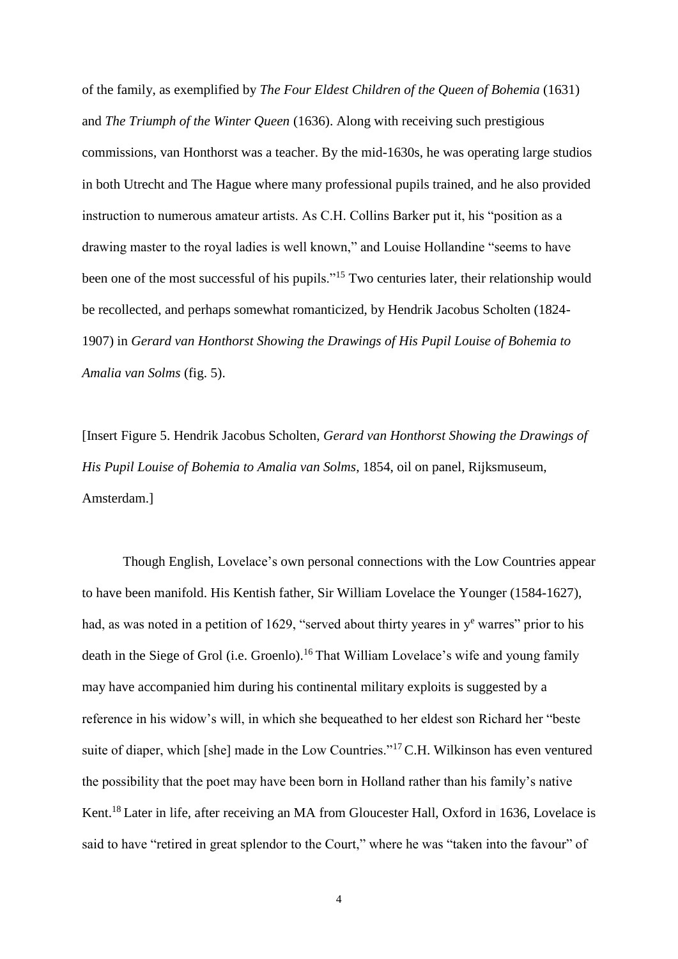of the family, as exemplified by *The Four Eldest Children of the Queen of Bohemia* (1631) and *The Triumph of the Winter Queen* (1636). Along with receiving such prestigious commissions, van Honthorst was a teacher. By the mid-1630s, he was operating large studios in both Utrecht and The Hague where many professional pupils trained, and he also provided instruction to numerous amateur artists. As C.H. Collins Barker put it, his "position as a drawing master to the royal ladies is well known," and Louise Hollandine "seems to have been one of the most successful of his pupils."<sup>15</sup> Two centuries later, their relationship would be recollected, and perhaps somewhat romanticized, by Hendrik Jacobus Scholten (1824- 1907) in *Gerard van Honthorst Showing the Drawings of His Pupil Louise of Bohemia to Amalia van Solms* (fig. 5).

[Insert Figure 5. Hendrik Jacobus Scholten, *Gerard van Honthorst Showing the Drawings of His Pupil Louise of Bohemia to Amalia van Solms*, 1854, oil on panel, Rijksmuseum, Amsterdam.]

Though English, Lovelace's own personal connections with the Low Countries appear to have been manifold. His Kentish father, Sir William Lovelace the Younger (1584-1627), had, as was noted in a petition of 1629, "served about thirty yeares in  $y<sup>e</sup>$  warres" prior to his death in the Siege of Grol (i.e. Groenlo).<sup>16</sup> That William Lovelace's wife and young family may have accompanied him during his continental military exploits is suggested by a reference in his widow's will, in which she bequeathed to her eldest son Richard her "beste suite of diaper, which [she] made in the Low Countries."<sup>17</sup> C.H. Wilkinson has even ventured the possibility that the poet may have been born in Holland rather than his family's native Kent.<sup>18</sup> Later in life, after receiving an MA from Gloucester Hall, Oxford in 1636, Lovelace is said to have "retired in great splendor to the Court," where he was "taken into the favour" of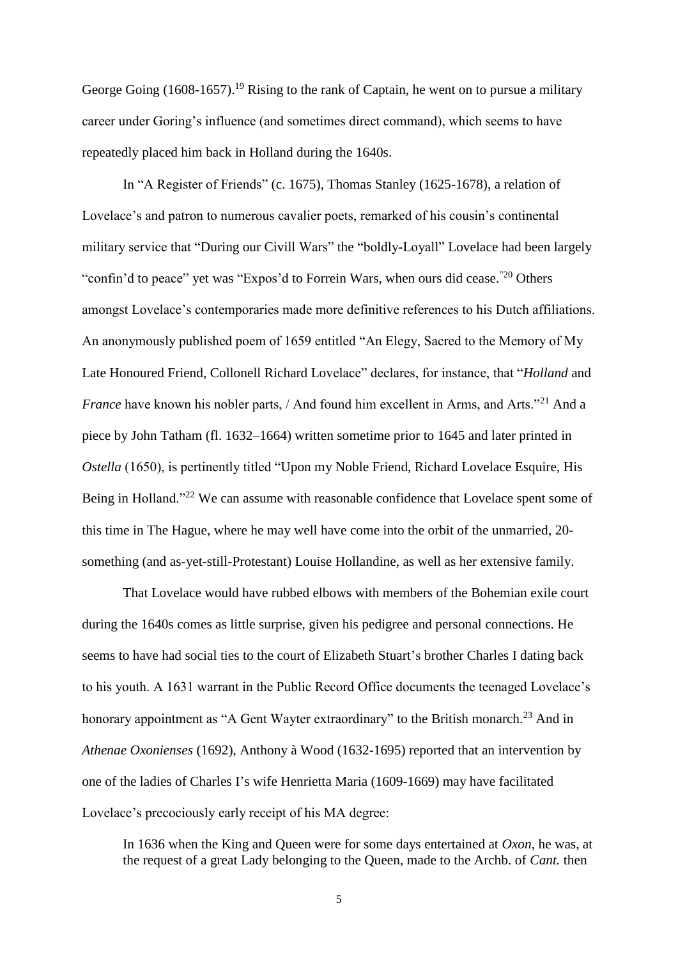George Going (1608-1657).<sup>19</sup> Rising to the rank of Captain, he went on to pursue a military career under Goring's influence (and sometimes direct command), which seems to have repeatedly placed him back in Holland during the 1640s.

In "A Register of Friends" (c. 1675), Thomas Stanley (1625-1678), a relation of Lovelace's and patron to numerous cavalier poets, remarked of his cousin's continental military service that "During our Civill Wars" the "boldly-Loyall" Lovelace had been largely "confin'd to peace" yet was "Expos'd to Forrein Wars, when ours did cease."20 Others amongst Lovelace's contemporaries made more definitive references to his Dutch affiliations. An anonymously published poem of 1659 entitled "An Elegy, Sacred to the Memory of My Late Honoured Friend, Collonell Richard Lovelace" declares, for instance, that "*Holland* and *France* have known his nobler parts, / And found him excellent in Arms, and Arts."<sup>21</sup> And a piece by John Tatham (fl. 1632–1664) written sometime prior to 1645 and later printed in *Ostella* (1650), is pertinently titled "Upon my Noble Friend, Richard Lovelace Esquire, His Being in Holland."<sup>22</sup> We can assume with reasonable confidence that Lovelace spent some of this time in The Hague, where he may well have come into the orbit of the unmarried, 20 something (and as-yet-still-Protestant) Louise Hollandine, as well as her extensive family.

That Lovelace would have rubbed elbows with members of the Bohemian exile court during the 1640s comes as little surprise, given his pedigree and personal connections. He seems to have had social ties to the court of Elizabeth Stuart's brother Charles I dating back to his youth. A 1631 warrant in the Public Record Office documents the teenaged Lovelace's honorary appointment as "A Gent Wayter extraordinary" to the British monarch.<sup>23</sup> And in *Athenae Oxonienses* (1692), Anthony à Wood (1632-1695) reported that an intervention by one of the ladies of Charles I's wife Henrietta Maria (1609-1669) may have facilitated Lovelace's precociously early receipt of his MA degree:

In 1636 when the King and Queen were for some days entertained at *Oxon*, he was, at the request of a great Lady belonging to the Queen, made to the Archb. of *Cant.* then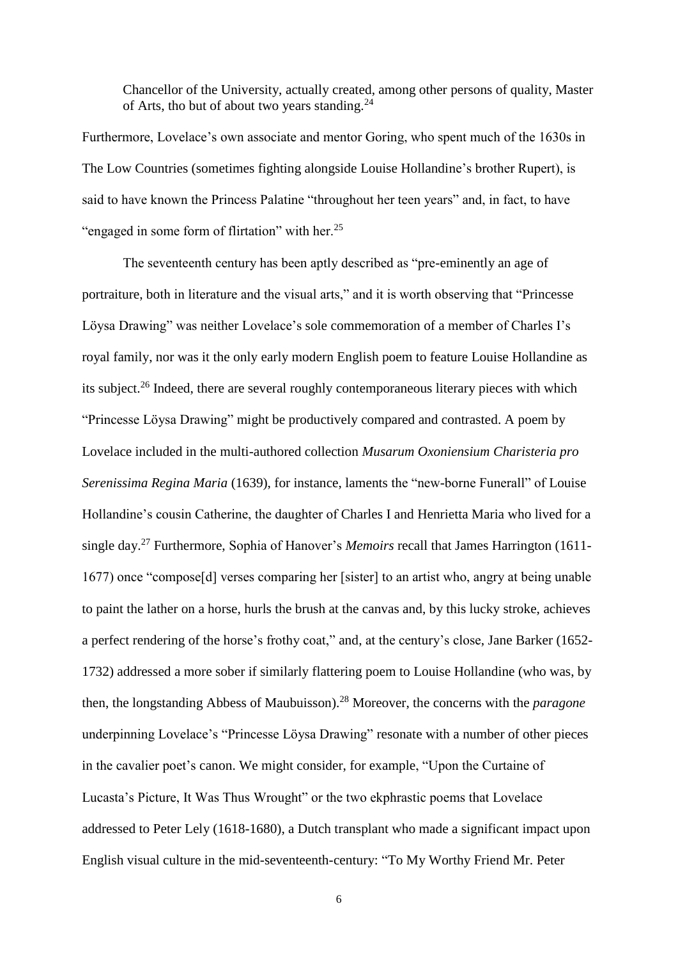Chancellor of the University, actually created, among other persons of quality, Master of Arts, tho but of about two years standing. $^{24}$ 

Furthermore, Lovelace's own associate and mentor Goring, who spent much of the 1630s in The Low Countries (sometimes fighting alongside Louise Hollandine's brother Rupert), is said to have known the Princess Palatine "throughout her teen years" and, in fact, to have "engaged in some form of flirtation" with her.<sup>25</sup>

The seventeenth century has been aptly described as "pre-eminently an age of portraiture, both in literature and the visual arts," and it is worth observing that "Princesse Löysa Drawing" was neither Lovelace's sole commemoration of a member of Charles I's royal family, nor was it the only early modern English poem to feature Louise Hollandine as its subject.<sup>26</sup> Indeed, there are several roughly contemporaneous literary pieces with which "Princesse Löysa Drawing" might be productively compared and contrasted. A poem by Lovelace included in the multi-authored collection *Musarum Oxoniensium Charisteria pro Serenissima Regina Maria* (1639), for instance, laments the "new-borne Funerall" of Louise Hollandine's cousin Catherine, the daughter of Charles I and Henrietta Maria who lived for a single day.<sup>27</sup> Furthermore, Sophia of Hanover's *Memoirs* recall that James Harrington (1611- 1677) once "compose[d] verses comparing her [sister] to an artist who, angry at being unable to paint the lather on a horse, hurls the brush at the canvas and, by this lucky stroke, achieves a perfect rendering of the horse's frothy coat," and, at the century's close, Jane Barker (1652- 1732) addressed a more sober if similarly flattering poem to Louise Hollandine (who was, by then, the longstanding Abbess of Maubuisson). <sup>28</sup> Moreover, the concerns with the *paragone* underpinning Lovelace's "Princesse Löysa Drawing" resonate with a number of other pieces in the cavalier poet's canon. We might consider, for example, "Upon the Curtaine of Lucasta's Picture, It Was Thus Wrought" or the two ekphrastic poems that Lovelace addressed to Peter Lely (1618-1680), a Dutch transplant who made a significant impact upon English visual culture in the mid-seventeenth-century: "To My Worthy Friend Mr. Peter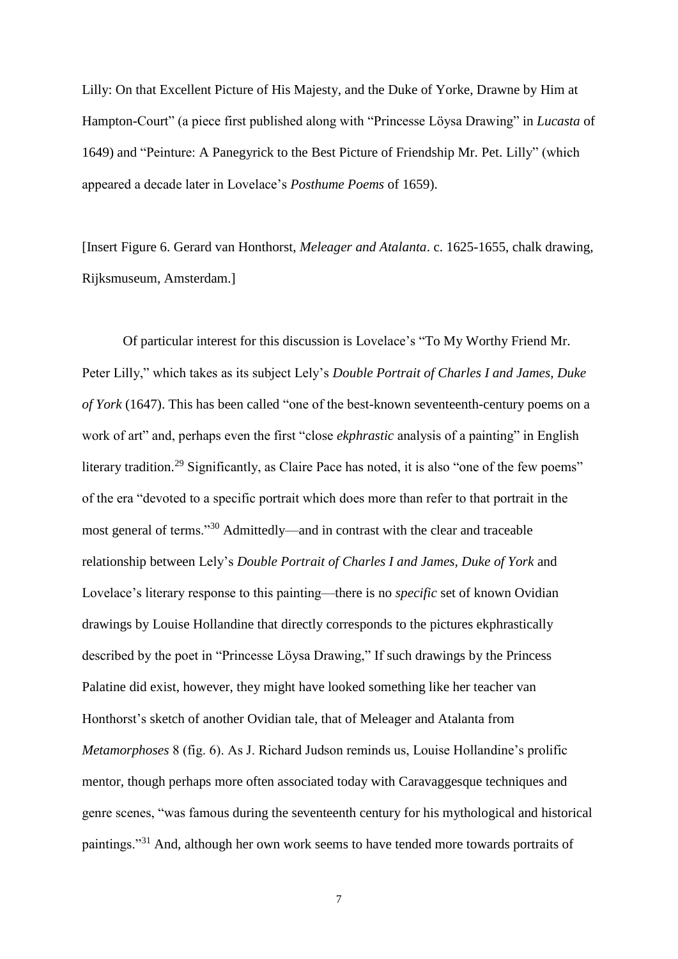Lilly: On that Excellent Picture of His Majesty, and the Duke of Yorke, Drawne by Him at Hampton-Court" (a piece first published along with "Princesse Löysa Drawing" in *Lucasta* of 1649) and "Peinture: A Panegyrick to the Best Picture of Friendship Mr. Pet. Lilly" (which appeared a decade later in Lovelace's *Posthume Poems* of 1659).

[Insert Figure 6. Gerard van Honthorst, *Meleager and Atalanta*. c. 1625-1655, chalk drawing, Rijksmuseum, Amsterdam.]

Of particular interest for this discussion is Lovelace's "To My Worthy Friend Mr. Peter Lilly," which takes as its subject Lely's *Double Portrait of Charles I and James, Duke of York* (1647). This has been called "one of the best-known seventeenth-century poems on a work of art" and, perhaps even the first "close *ekphrastic* analysis of a painting" in English literary tradition.<sup>29</sup> Significantly, as Claire Pace has noted, it is also "one of the few poems" of the era "devoted to a specific portrait which does more than refer to that portrait in the most general of terms."<sup>30</sup> Admittedly—and in contrast with the clear and traceable relationship between Lely's *Double Portrait of Charles I and James, Duke of York* and Lovelace's literary response to this painting—there is no *specific* set of known Ovidian drawings by Louise Hollandine that directly corresponds to the pictures ekphrastically described by the poet in "Princesse Löysa Drawing," If such drawings by the Princess Palatine did exist, however, they might have looked something like her teacher van Honthorst's sketch of another Ovidian tale, that of Meleager and Atalanta from *Metamorphoses* 8 (fig. 6). As J. Richard Judson reminds us, Louise Hollandine's prolific mentor, though perhaps more often associated today with Caravaggesque techniques and genre scenes, "was famous during the seventeenth century for his mythological and historical paintings."<sup>31</sup> And, although her own work seems to have tended more towards portraits of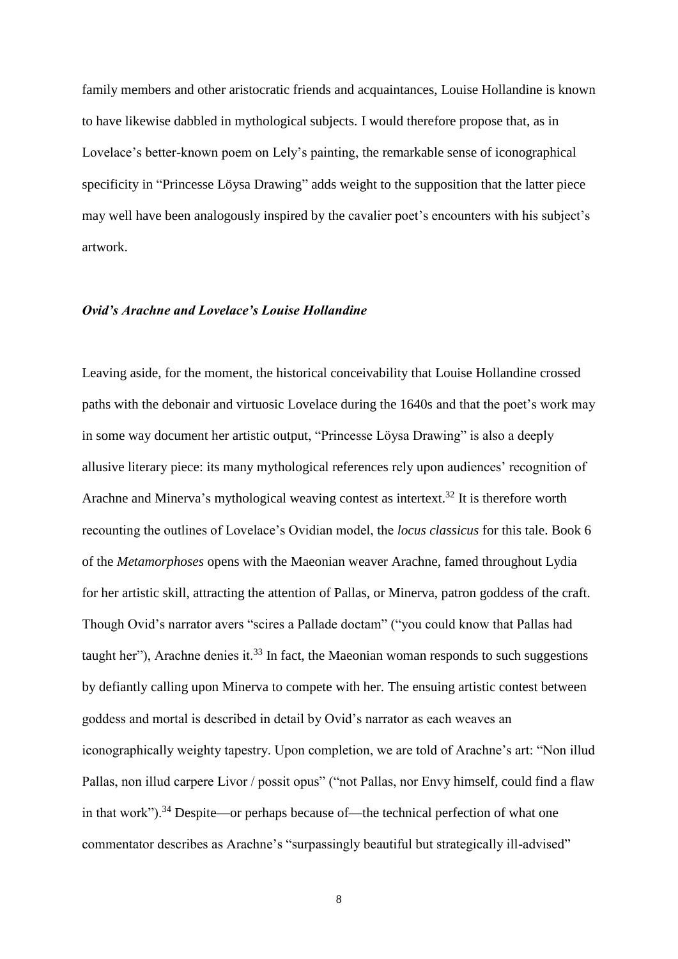family members and other aristocratic friends and acquaintances, Louise Hollandine is known to have likewise dabbled in mythological subjects. I would therefore propose that, as in Lovelace's better-known poem on Lely's painting, the remarkable sense of iconographical specificity in "Princesse Löysa Drawing" adds weight to the supposition that the latter piece may well have been analogously inspired by the cavalier poet's encounters with his subject's artwork.

# *Ovid's Arachne and Lovelace's Louise Hollandine*

Leaving aside, for the moment, the historical conceivability that Louise Hollandine crossed paths with the debonair and virtuosic Lovelace during the 1640s and that the poet's work may in some way document her artistic output, "Princesse Löysa Drawing" is also a deeply allusive literary piece: its many mythological references rely upon audiences' recognition of Arachne and Minerva's mythological weaving contest as intertext.<sup>32</sup> It is therefore worth recounting the outlines of Lovelace's Ovidian model, the *locus classicus* for this tale. Book 6 of the *Metamorphoses* opens with the Maeonian weaver Arachne, famed throughout Lydia for her artistic skill, attracting the attention of Pallas, or Minerva, patron goddess of the craft. Though Ovid's narrator avers "scires a Pallade doctam" ("you could know that Pallas had taught her"), Arachne denies it.<sup>33</sup> In fact, the Maeonian woman responds to such suggestions by defiantly calling upon Minerva to compete with her. The ensuing artistic contest between goddess and mortal is described in detail by Ovid's narrator as each weaves an iconographically weighty tapestry. Upon completion, we are told of Arachne's art: "Non illud Pallas, non illud carpere Livor / possit opus" ("not Pallas, nor Envy himself, could find a flaw in that work").<sup>34</sup> Despite—or perhaps because of—the technical perfection of what one commentator describes as Arachne's "surpassingly beautiful but strategically ill-advised"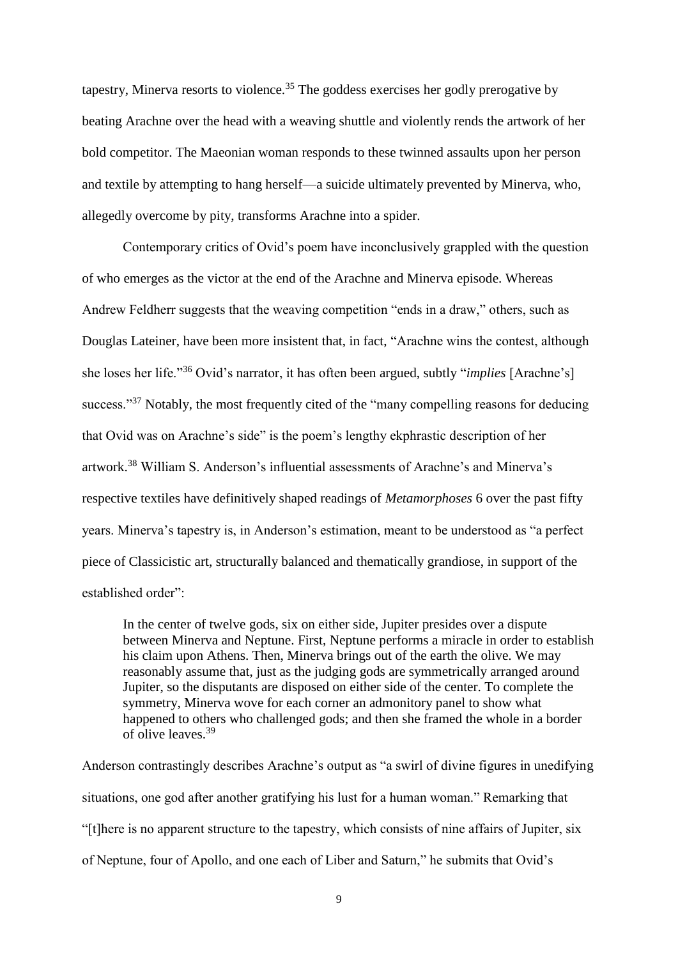tapestry, Minerva resorts to violence.<sup>35</sup> The goddess exercises her godly prerogative by beating Arachne over the head with a weaving shuttle and violently rends the artwork of her bold competitor. The Maeonian woman responds to these twinned assaults upon her person and textile by attempting to hang herself—a suicide ultimately prevented by Minerva, who, allegedly overcome by pity, transforms Arachne into a spider.

Contemporary critics of Ovid's poem have inconclusively grappled with the question of who emerges as the victor at the end of the Arachne and Minerva episode. Whereas Andrew Feldherr suggests that the weaving competition "ends in a draw," others, such as Douglas Lateiner, have been more insistent that, in fact, "Arachne wins the contest, although she loses her life."<sup>36</sup> Ovid's narrator, it has often been argued, subtly "*implies* [Arachne's] success."<sup>37</sup> Notably, the most frequently cited of the "many compelling reasons for deducing that Ovid was on Arachne's side" is the poem's lengthy ekphrastic description of her artwork.<sup>38</sup> William S. Anderson's influential assessments of Arachne's and Minerva's respective textiles have definitively shaped readings of *Metamorphoses* 6 over the past fifty years. Minerva's tapestry is, in Anderson's estimation, meant to be understood as "a perfect piece of Classicistic art, structurally balanced and thematically grandiose, in support of the established order":

In the center of twelve gods, six on either side, Jupiter presides over a dispute between Minerva and Neptune. First, Neptune performs a miracle in order to establish his claim upon Athens. Then, Minerva brings out of the earth the olive. We may reasonably assume that, just as the judging gods are symmetrically arranged around Jupiter, so the disputants are disposed on either side of the center. To complete the symmetry, Minerva wove for each corner an admonitory panel to show what happened to others who challenged gods; and then she framed the whole in a border of olive leaves.<sup>39</sup>

Anderson contrastingly describes Arachne's output as "a swirl of divine figures in unedifying situations, one god after another gratifying his lust for a human woman." Remarking that "[t]here is no apparent structure to the tapestry, which consists of nine affairs of Jupiter, six of Neptune, four of Apollo, and one each of Liber and Saturn," he submits that Ovid's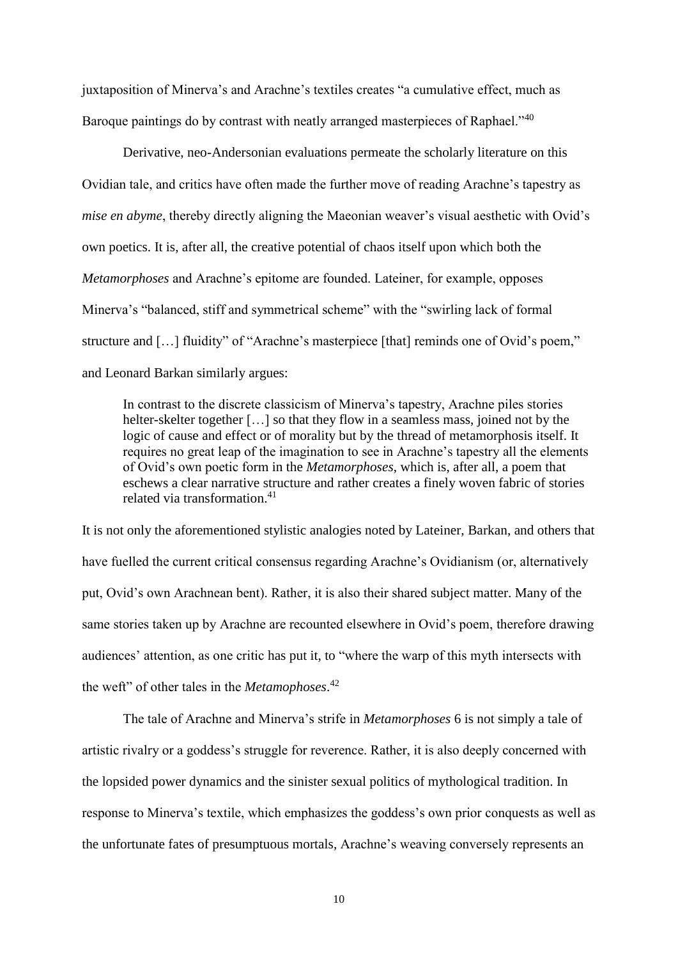juxtaposition of Minerva's and Arachne's textiles creates "a cumulative effect, much as Baroque paintings do by contrast with neatly arranged masterpieces of Raphael."<sup>40</sup>

Derivative, neo-Andersonian evaluations permeate the scholarly literature on this Ovidian tale, and critics have often made the further move of reading Arachne's tapestry as *mise en abyme*, thereby directly aligning the Maeonian weaver's visual aesthetic with Ovid's own poetics. It is, after all, the creative potential of chaos itself upon which both the *Metamorphoses* and Arachne's epitome are founded. Lateiner, for example, opposes Minerva's "balanced, stiff and symmetrical scheme" with the "swirling lack of formal structure and […] fluidity" of "Arachne's masterpiece [that] reminds one of Ovid's poem," and Leonard Barkan similarly argues:

In contrast to the discrete classicism of Minerva's tapestry, Arachne piles stories helter-skelter together […] so that they flow in a seamless mass, joined not by the logic of cause and effect or of morality but by the thread of metamorphosis itself. It requires no great leap of the imagination to see in Arachne's tapestry all the elements of Ovid's own poetic form in the *Metamorphoses*, which is, after all, a poem that eschews a clear narrative structure and rather creates a finely woven fabric of stories related via transformation.<sup>41</sup>

It is not only the aforementioned stylistic analogies noted by Lateiner, Barkan, and others that have fuelled the current critical consensus regarding Arachne's Ovidianism (or, alternatively put, Ovid's own Arachnean bent). Rather, it is also their shared subject matter. Many of the same stories taken up by Arachne are recounted elsewhere in Ovid's poem, therefore drawing audiences' attention, as one critic has put it, to "where the warp of this myth intersects with the weft" of other tales in the *Metamophoses*. 42

The tale of Arachne and Minerva's strife in *Metamorphoses* 6 is not simply a tale of artistic rivalry or a goddess's struggle for reverence. Rather, it is also deeply concerned with the lopsided power dynamics and the sinister sexual politics of mythological tradition. In response to Minerva's textile, which emphasizes the goddess's own prior conquests as well as the unfortunate fates of presumptuous mortals, Arachne's weaving conversely represents an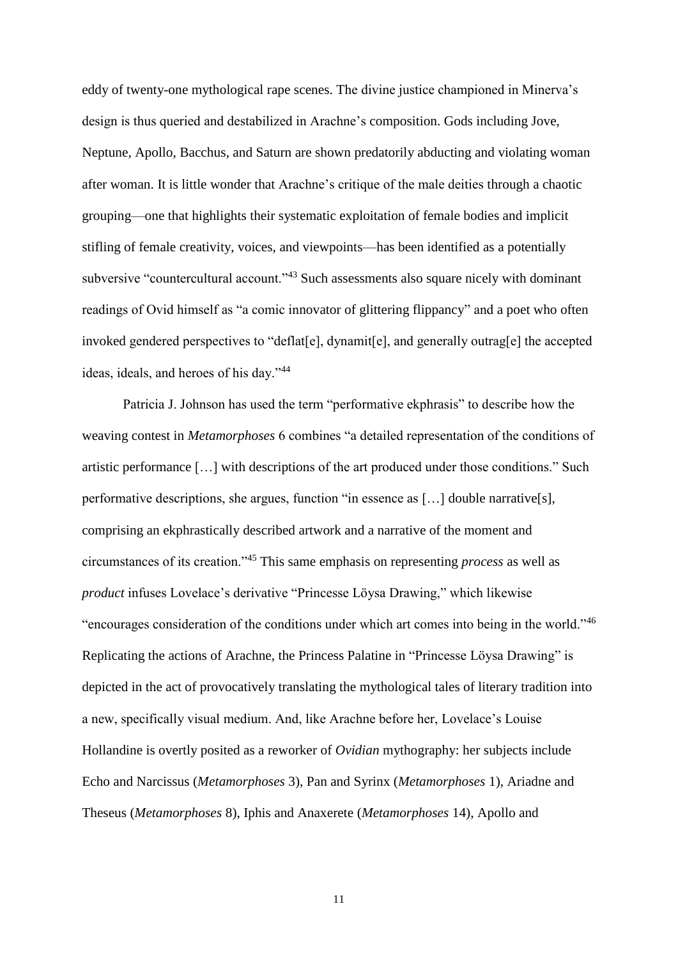eddy of twenty-one mythological rape scenes. The divine justice championed in Minerva's design is thus queried and destabilized in Arachne's composition. Gods including Jove, Neptune, Apollo, Bacchus, and Saturn are shown predatorily abducting and violating woman after woman. It is little wonder that Arachne's critique of the male deities through a chaotic grouping—one that highlights their systematic exploitation of female bodies and implicit stifling of female creativity, voices, and viewpoints—has been identified as a potentially subversive "countercultural account."<sup>43</sup> Such assessments also square nicely with dominant readings of Ovid himself as "a comic innovator of glittering flippancy" and a poet who often invoked gendered perspectives to "deflat[e], dynamit[e], and generally outrag[e] the accepted ideas, ideals, and heroes of his day."<sup>44</sup>

Patricia J. Johnson has used the term "performative ekphrasis" to describe how the weaving contest in *Metamorphoses* 6 combines "a detailed representation of the conditions of artistic performance […] with descriptions of the art produced under those conditions." Such performative descriptions, she argues, function "in essence as […] double narrative[s], comprising an ekphrastically described artwork and a narrative of the moment and circumstances of its creation."<sup>45</sup> This same emphasis on representing *process* as well as *product* infuses Lovelace's derivative "Princesse Löysa Drawing," which likewise "encourages consideration of the conditions under which art comes into being in the world."<sup>46</sup> Replicating the actions of Arachne, the Princess Palatine in "Princesse Löysa Drawing" is depicted in the act of provocatively translating the mythological tales of literary tradition into a new, specifically visual medium. And, like Arachne before her, Lovelace's Louise Hollandine is overtly posited as a reworker of *Ovidian* mythography: her subjects include Echo and Narcissus (*Metamorphoses* 3), Pan and Syrinx (*Metamorphoses* 1), Ariadne and Theseus (*Metamorphoses* 8), Iphis and Anaxerete (*Metamorphoses* 14), Apollo and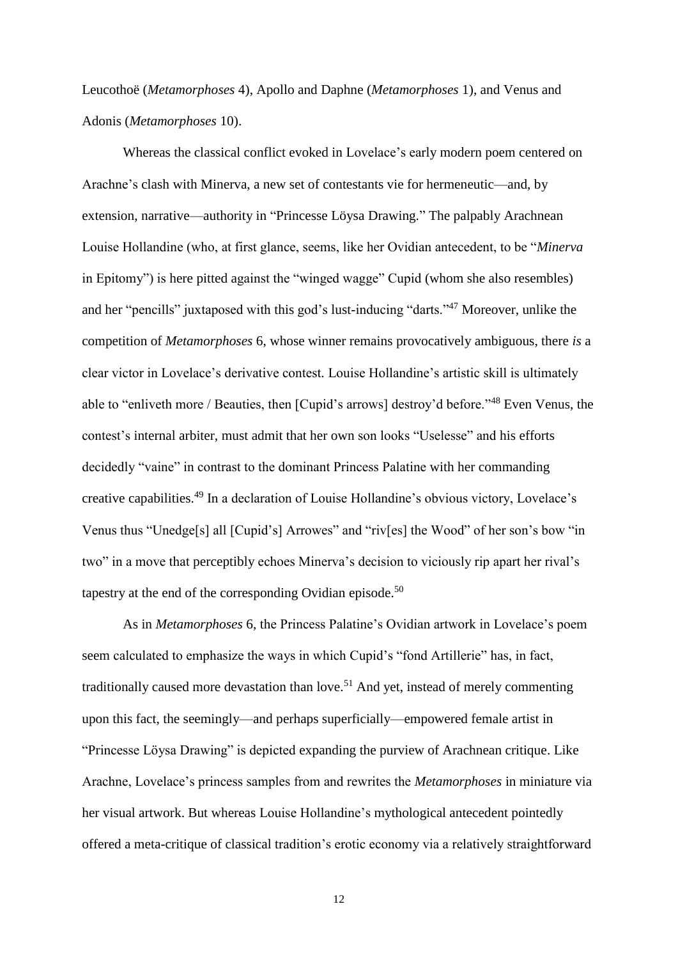Leucothoë (*Metamorphoses* 4), Apollo and Daphne (*Metamorphoses* 1), and Venus and Adonis (*Metamorphoses* 10).

Whereas the classical conflict evoked in Lovelace's early modern poem centered on Arachne's clash with Minerva, a new set of contestants vie for hermeneutic—and, by extension, narrative—authority in "Princesse Löysa Drawing." The palpably Arachnean Louise Hollandine (who, at first glance, seems, like her Ovidian antecedent, to be "*Minerva* in Epitomy") is here pitted against the "winged wagge" Cupid (whom she also resembles) and her "pencills" juxtaposed with this god's lust-inducing "darts."<sup>47</sup> Moreover, unlike the competition of *Metamorphoses* 6, whose winner remains provocatively ambiguous, there *is* a clear victor in Lovelace's derivative contest*.* Louise Hollandine's artistic skill is ultimately able to "enliveth more / Beauties, then [Cupid's arrows] destroy'd before."<sup>48</sup> Even Venus, the contest's internal arbiter, must admit that her own son looks "Uselesse" and his efforts decidedly "vaine" in contrast to the dominant Princess Palatine with her commanding creative capabilities.<sup>49</sup> In a declaration of Louise Hollandine's obvious victory, Lovelace's Venus thus "Unedge[s] all [Cupid's] Arrowes" and "riv[es] the Wood" of her son's bow "in two" in a move that perceptibly echoes Minerva's decision to viciously rip apart her rival's tapestry at the end of the corresponding Ovidian episode.<sup>50</sup>

As in *Metamorphoses* 6, the Princess Palatine's Ovidian artwork in Lovelace's poem seem calculated to emphasize the ways in which Cupid's "fond Artillerie" has, in fact, traditionally caused more devastation than love.<sup>51</sup> And yet, instead of merely commenting upon this fact, the seemingly—and perhaps superficially—empowered female artist in "Princesse Löysa Drawing" is depicted expanding the purview of Arachnean critique. Like Arachne, Lovelace's princess samples from and rewrites the *Metamorphoses* in miniature via her visual artwork. But whereas Louise Hollandine's mythological antecedent pointedly offered a meta-critique of classical tradition's erotic economy via a relatively straightforward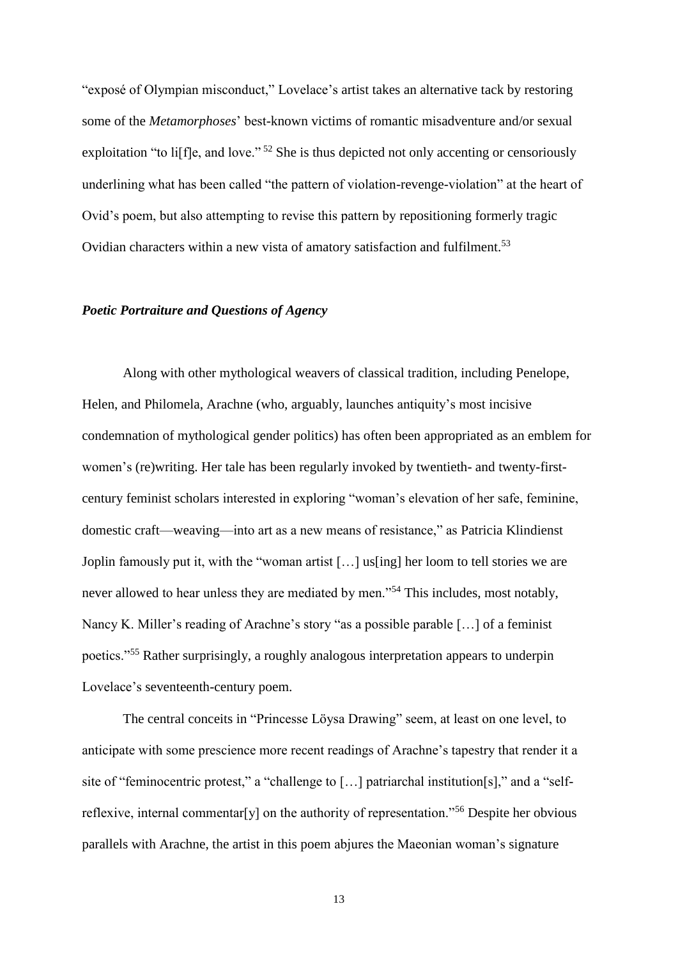"exposé of Olympian misconduct," Lovelace's artist takes an alternative tack by restoring some of the *Metamorphoses*' best-known victims of romantic misadventure and/or sexual exploitation "to liffle, and love."  $52$  She is thus depicted not only accenting or censoriously underlining what has been called "the pattern of violation-revenge-violation" at the heart of Ovid's poem, but also attempting to revise this pattern by repositioning formerly tragic Ovidian characters within a new vista of amatory satisfaction and fulfilment.<sup>53</sup>

### *Poetic Portraiture and Questions of Agency*

Along with other mythological weavers of classical tradition, including Penelope, Helen, and Philomela, Arachne (who, arguably, launches antiquity's most incisive condemnation of mythological gender politics) has often been appropriated as an emblem for women's (re)writing. Her tale has been regularly invoked by twentieth- and twenty-firstcentury feminist scholars interested in exploring "woman's elevation of her safe, feminine, domestic craft—weaving—into art as a new means of resistance," as Patricia Klindienst Joplin famously put it, with the "woman artist […] us[ing] her loom to tell stories we are never allowed to hear unless they are mediated by men."<sup>54</sup> This includes, most notably, Nancy K. Miller's reading of Arachne's story "as a possible parable […] of a feminist poetics."<sup>55</sup> Rather surprisingly, a roughly analogous interpretation appears to underpin Lovelace's seventeenth-century poem.

The central conceits in "Princesse Löysa Drawing" seem, at least on one level, to anticipate with some prescience more recent readings of Arachne's tapestry that render it a site of "feminocentric protest," a "challenge to [...] patriarchal institution[s]," and a "selfreflexive, internal commentar[y] on the authority of representation."<sup>56</sup> Despite her obvious parallels with Arachne, the artist in this poem abjures the Maeonian woman's signature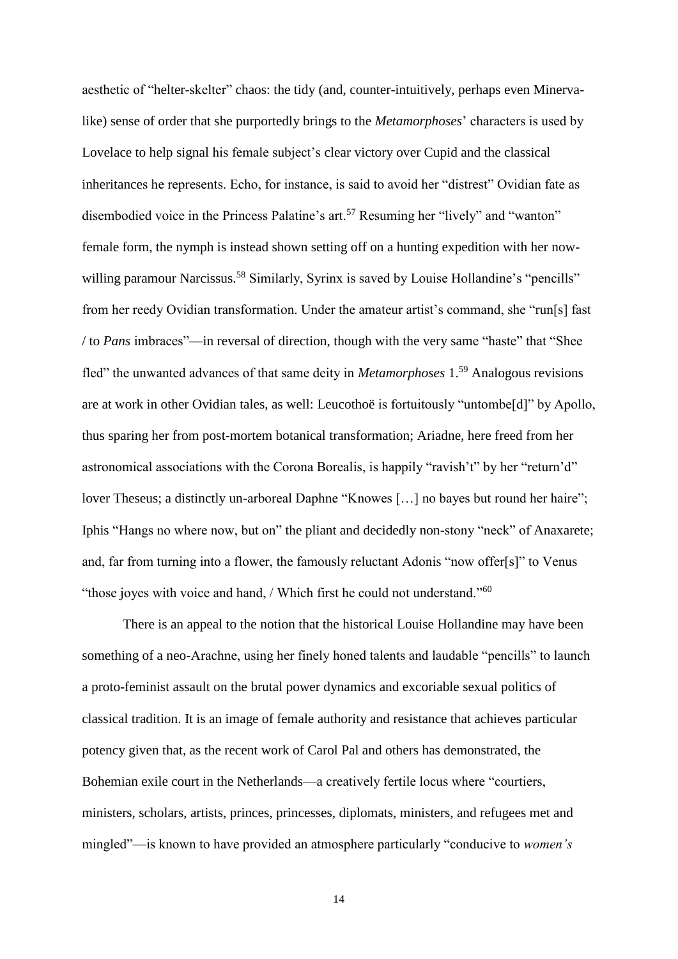aesthetic of "helter-skelter" chaos: the tidy (and, counter-intuitively, perhaps even Minervalike) sense of order that she purportedly brings to the *Metamorphoses*' characters is used by Lovelace to help signal his female subject's clear victory over Cupid and the classical inheritances he represents. Echo, for instance, is said to avoid her "distrest" Ovidian fate as disembodied voice in the Princess Palatine's art.<sup>57</sup> Resuming her "lively" and "wanton" female form, the nymph is instead shown setting off on a hunting expedition with her nowwilling paramour Narcissus.<sup>58</sup> Similarly, Syrinx is saved by Louise Hollandine's "pencills" from her reedy Ovidian transformation. Under the amateur artist's command, she "run[s] fast / to *Pans* imbraces"—in reversal of direction, though with the very same "haste" that "Shee fled" the unwanted advances of that same deity in *Metamorphoses* 1.<sup>59</sup> Analogous revisions are at work in other Ovidian tales, as well: Leucothoë is fortuitously "untombe[d]" by Apollo, thus sparing her from post-mortem botanical transformation; Ariadne, here freed from her astronomical associations with the Corona Borealis, is happily "ravish't" by her "return'd" lover Theseus; a distinctly un-arboreal Daphne "Knowes [...] no bayes but round her haire"; Iphis "Hangs no where now, but on" the pliant and decidedly non-stony "neck" of Anaxarete; and, far from turning into a flower, the famously reluctant Adonis "now offer[s]" to Venus "those joyes with voice and hand, / Which first he could not understand."<sup>60</sup>

There is an appeal to the notion that the historical Louise Hollandine may have been something of a neo-Arachne, using her finely honed talents and laudable "pencills" to launch a proto-feminist assault on the brutal power dynamics and excoriable sexual politics of classical tradition. It is an image of female authority and resistance that achieves particular potency given that, as the recent work of Carol Pal and others has demonstrated, the Bohemian exile court in the Netherlands—a creatively fertile locus where "courtiers, ministers, scholars, artists, princes, princesses, diplomats, ministers, and refugees met and mingled"—is known to have provided an atmosphere particularly "conducive to *women's*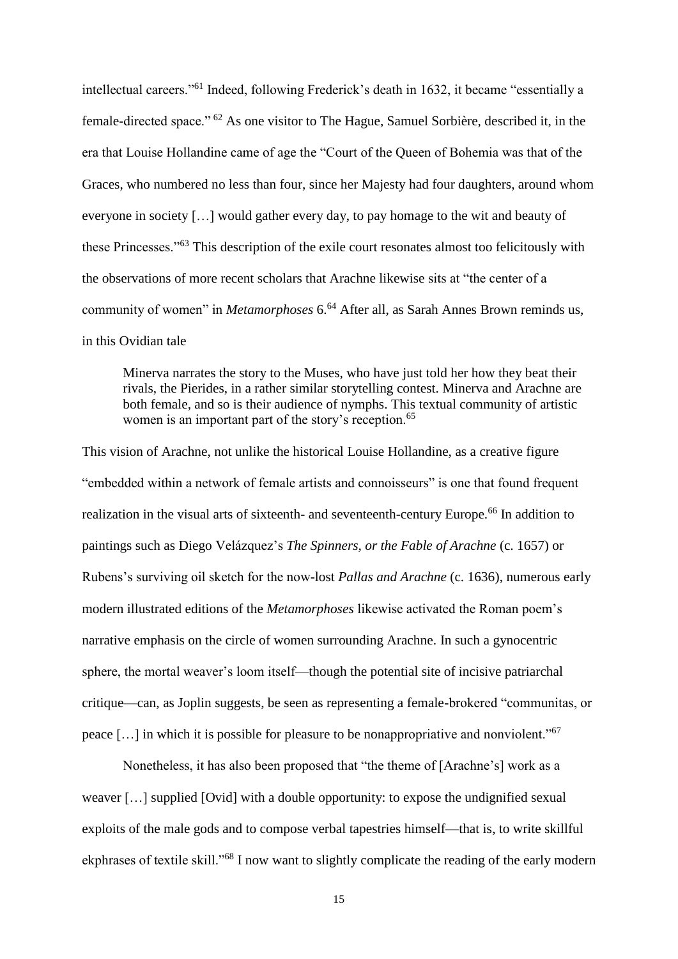intellectual careers."<sup>61</sup> Indeed, following Frederick's death in 1632, it became "essentially a female-directed space." <sup>62</sup> As one visitor to The Hague, Samuel Sorbière, described it, in the era that Louise Hollandine came of age the "Court of the Queen of Bohemia was that of the Graces, who numbered no less than four, since her Majesty had four daughters, around whom everyone in society […] would gather every day, to pay homage to the wit and beauty of these Princesses."<sup>63</sup> This description of the exile court resonates almost too felicitously with the observations of more recent scholars that Arachne likewise sits at "the center of a community of women" in *Metamorphoses* 6.<sup>64</sup> After all, as Sarah Annes Brown reminds us, in this Ovidian tale

Minerva narrates the story to the Muses, who have just told her how they beat their rivals, the Pierides, in a rather similar storytelling contest. Minerva and Arachne are both female, and so is their audience of nymphs. This textual community of artistic women is an important part of the story's reception.<sup>65</sup>

This vision of Arachne, not unlike the historical Louise Hollandine, as a creative figure "embedded within a network of female artists and connoisseurs" is one that found frequent realization in the visual arts of sixteenth- and seventeenth-century Europe.<sup>66</sup> In addition to paintings such as Diego Velázquez's *The Spinners, or the Fable of Arachne* (c. 1657) or Rubens's surviving oil sketch for the now-lost *Pallas and Arachne* (c. 1636), numerous early modern illustrated editions of the *Metamorphoses* likewise activated the Roman poem's narrative emphasis on the circle of women surrounding Arachne. In such a gynocentric sphere, the mortal weaver's loom itself—though the potential site of incisive patriarchal critique—can, as Joplin suggests, be seen as representing a female-brokered "communitas, or peace  $[\dots]$  in which it is possible for pleasure to be nonappropriative and nonviolent."<sup>67</sup>

Nonetheless, it has also been proposed that "the theme of [Arachne's] work as a weaver […] supplied [Ovid] with a double opportunity: to expose the undignified sexual exploits of the male gods and to compose verbal tapestries himself—that is, to write skillful ekphrases of textile skill."<sup>68</sup> I now want to slightly complicate the reading of the early modern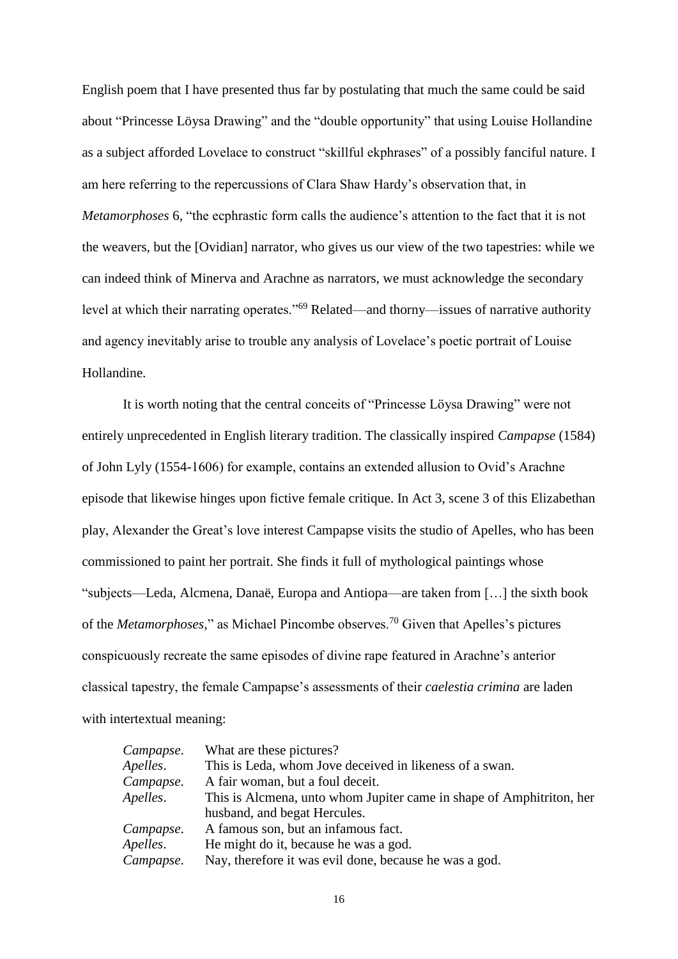English poem that I have presented thus far by postulating that much the same could be said about "Princesse Löysa Drawing" and the "double opportunity" that using Louise Hollandine as a subject afforded Lovelace to construct "skillful ekphrases" of a possibly fanciful nature. I am here referring to the repercussions of Clara Shaw Hardy's observation that, in *Metamorphoses* 6, "the ecphrastic form calls the audience's attention to the fact that it is not the weavers, but the [Ovidian] narrator, who gives us our view of the two tapestries: while we can indeed think of Minerva and Arachne as narrators, we must acknowledge the secondary level at which their narrating operates."<sup>69</sup> Related—and thorny—issues of narrative authority and agency inevitably arise to trouble any analysis of Lovelace's poetic portrait of Louise Hollandine.

It is worth noting that the central conceits of "Princesse Löysa Drawing" were not entirely unprecedented in English literary tradition. The classically inspired *Campapse* (1584) of John Lyly (1554-1606) for example, contains an extended allusion to Ovid's Arachne episode that likewise hinges upon fictive female critique. In Act 3, scene 3 of this Elizabethan play, Alexander the Great's love interest Campapse visits the studio of Apelles, who has been commissioned to paint her portrait. She finds it full of mythological paintings whose "subjects—Leda, Alcmena, Danaë, Europa and Antiopa—are taken from […] the sixth book of the *Metamorphoses,*" as Michael Pincombe observes.<sup>70</sup> Given that Apelles's pictures conspicuously recreate the same episodes of divine rape featured in Arachne's anterior classical tapestry, the female Campapse's assessments of their *caelestia crimina* are laden with intertextual meaning:

| What are these pictures?                                             |
|----------------------------------------------------------------------|
| This is Leda, whom Jove deceived in likeness of a swan.              |
| A fair woman, but a foul deceit.                                     |
| This is Alcmena, unto whom Jupiter came in shape of Amphitriton, her |
| husband, and begat Hercules.                                         |
| A famous son, but an infamous fact.                                  |
| He might do it, because he was a god.                                |
| Nay, therefore it was evil done, because he was a god.               |
|                                                                      |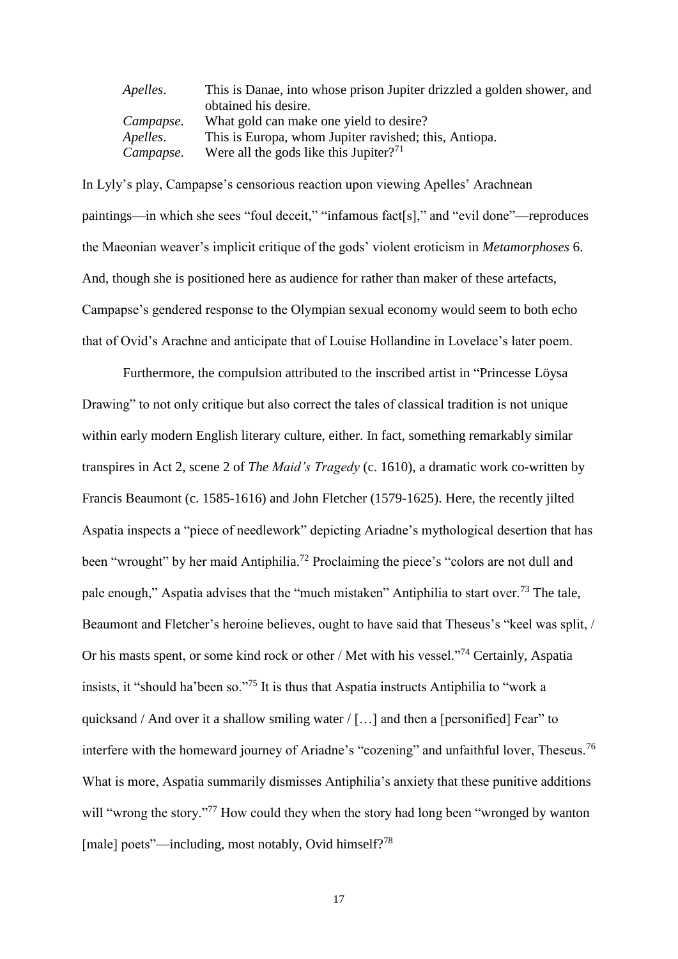| Apelles.        | This is Danae, into whose prison Jupiter drizzled a golden shower, and |
|-----------------|------------------------------------------------------------------------|
|                 | obtained his desire.                                                   |
| Campapse.       | What gold can make one yield to desire?                                |
| <i>Apelles.</i> | This is Europa, whom Jupiter ravished; this, Antiopa.                  |
| Campapse.       | Were all the gods like this Jupiter? <sup>71</sup>                     |

In Lyly's play, Campapse's censorious reaction upon viewing Apelles' Arachnean paintings—in which she sees "foul deceit," "infamous fact[s]," and "evil done"—reproduces the Maeonian weaver's implicit critique of the gods' violent eroticism in *Metamorphoses* 6. And, though she is positioned here as audience for rather than maker of these artefacts, Campapse's gendered response to the Olympian sexual economy would seem to both echo that of Ovid's Arachne and anticipate that of Louise Hollandine in Lovelace's later poem.

Furthermore, the compulsion attributed to the inscribed artist in "Princesse Löysa Drawing" to not only critique but also correct the tales of classical tradition is not unique within early modern English literary culture, either. In fact, something remarkably similar transpires in Act 2, scene 2 of *The Maid's Tragedy* (c. 1610), a dramatic work co-written by Francis Beaumont (c. 1585-1616) and John Fletcher (1579-1625). Here, the recently jilted Aspatia inspects a "piece of needlework" depicting Ariadne's mythological desertion that has been "wrought" by her maid Antiphilia.<sup>72</sup> Proclaiming the piece's "colors are not dull and pale enough," Aspatia advises that the "much mistaken" Antiphilia to start over.<sup>73</sup> The tale, Beaumont and Fletcher's heroine believes, ought to have said that Theseus's "keel was split, / Or his masts spent, or some kind rock or other / Met with his vessel."<sup>74</sup> Certainly, Aspatia insists, it "should ha'been so."<sup>75</sup> It is thus that Aspatia instructs Antiphilia to "work a quicksand / And over it a shallow smiling water / […] and then a [personified] Fear" to interfere with the homeward journey of Ariadne's "cozening" and unfaithful lover, Theseus.<sup>76</sup> What is more, Aspatia summarily dismisses Antiphilia's anxiety that these punitive additions will "wrong the story."<sup>77</sup> How could they when the story had long been "wronged by wanton" [male] poets"—including, most notably, Ovid himself?<sup>78</sup>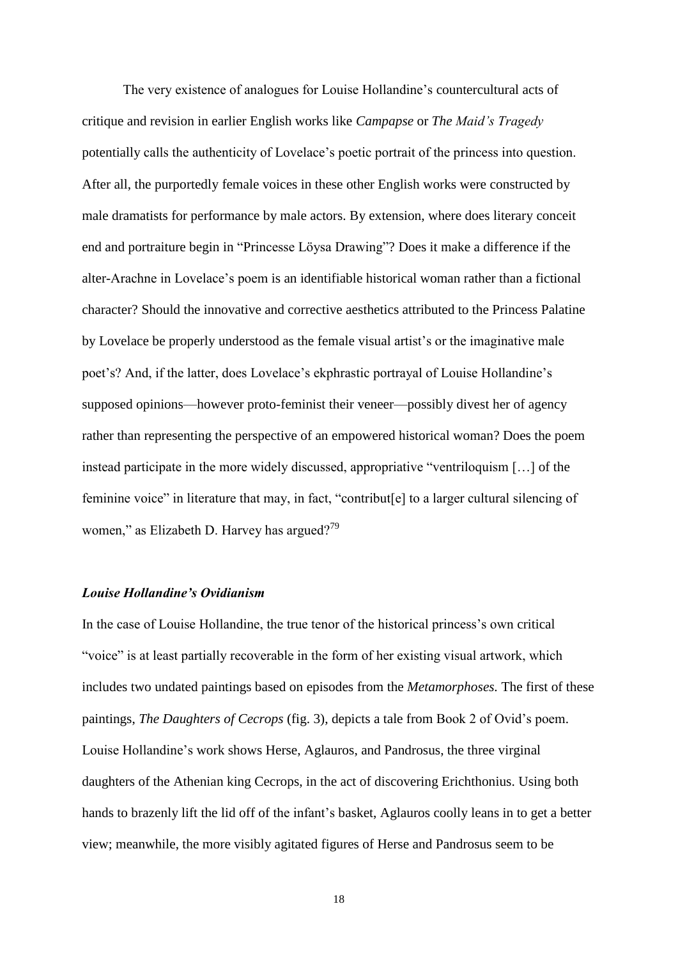The very existence of analogues for Louise Hollandine's countercultural acts of critique and revision in earlier English works like *Campapse* or *The Maid's Tragedy*  potentially calls the authenticity of Lovelace's poetic portrait of the princess into question. After all, the purportedly female voices in these other English works were constructed by male dramatists for performance by male actors. By extension, where does literary conceit end and portraiture begin in "Princesse Löysa Drawing"? Does it make a difference if the alter-Arachne in Lovelace's poem is an identifiable historical woman rather than a fictional character? Should the innovative and corrective aesthetics attributed to the Princess Palatine by Lovelace be properly understood as the female visual artist's or the imaginative male poet's? And, if the latter, does Lovelace's ekphrastic portrayal of Louise Hollandine's supposed opinions—however proto-feminist their veneer—possibly divest her of agency rather than representing the perspective of an empowered historical woman? Does the poem instead participate in the more widely discussed, appropriative "ventriloquism […] of the feminine voice" in literature that may, in fact, "contribut[e] to a larger cultural silencing of women," as Elizabeth D. Harvey has argued?<sup>79</sup>

## *Louise Hollandine's Ovidianism*

In the case of Louise Hollandine, the true tenor of the historical princess's own critical "voice" is at least partially recoverable in the form of her existing visual artwork, which includes two undated paintings based on episodes from the *Metamorphoses.* The first of these paintings, *The Daughters of Cecrops* (fig. 3), depicts a tale from Book 2 of Ovid's poem. Louise Hollandine's work shows Herse, Aglauros, and Pandrosus, the three virginal daughters of the Athenian king Cecrops, in the act of discovering Erichthonius. Using both hands to brazenly lift the lid off of the infant's basket, Aglauros coolly leans in to get a better view; meanwhile, the more visibly agitated figures of Herse and Pandrosus seem to be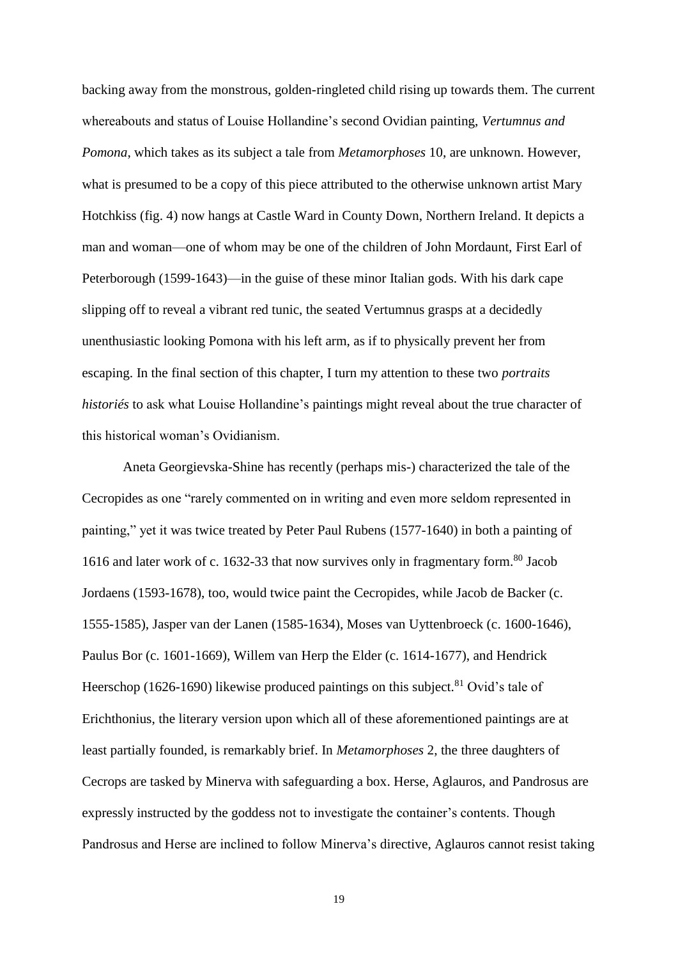backing away from the monstrous, golden-ringleted child rising up towards them. The current whereabouts and status of Louise Hollandine's second Ovidian painting, *Vertumnus and Pomona*, which takes as its subject a tale from *Metamorphoses* 10, are unknown. However, what is presumed to be a copy of this piece attributed to the otherwise unknown artist Mary Hotchkiss (fig. 4) now hangs at Castle Ward in County Down, Northern Ireland. It depicts a man and woman—one of whom may be one of the children of John Mordaunt, First Earl of Peterborough (1599-1643)—in the guise of these minor Italian gods. With his dark cape slipping off to reveal a vibrant red tunic, the seated Vertumnus grasps at a decidedly unenthusiastic looking Pomona with his left arm, as if to physically prevent her from escaping. In the final section of this chapter, I turn my attention to these two *portraits historiés* to ask what Louise Hollandine's paintings might reveal about the true character of this historical woman's Ovidianism.

Aneta Georgievska-Shine has recently (perhaps mis-) characterized the tale of the Cecropides as one "rarely commented on in writing and even more seldom represented in painting," yet it was twice treated by Peter Paul Rubens (1577-1640) in both a painting of 1616 and later work of c. 1632-33 that now survives only in fragmentary form.<sup>80</sup> Jacob Jordaens (1593-1678), too, would twice paint the Cecropides, while Jacob de Backer (c. 1555-1585), Jasper van der Lanen (1585-1634), Moses van Uyttenbroeck (c. 1600-1646), Paulus Bor (c. 1601-1669), Willem van Herp the Elder (c. 1614-1677), and Hendrick Heerschop (1626-1690) likewise produced paintings on this subject.<sup>81</sup> Ovid's tale of Erichthonius, the literary version upon which all of these aforementioned paintings are at least partially founded, is remarkably brief. In *Metamorphoses* 2, the three daughters of Cecrops are tasked by Minerva with safeguarding a box. Herse, Aglauros, and Pandrosus are expressly instructed by the goddess not to investigate the container's contents. Though Pandrosus and Herse are inclined to follow Minerva's directive, Aglauros cannot resist taking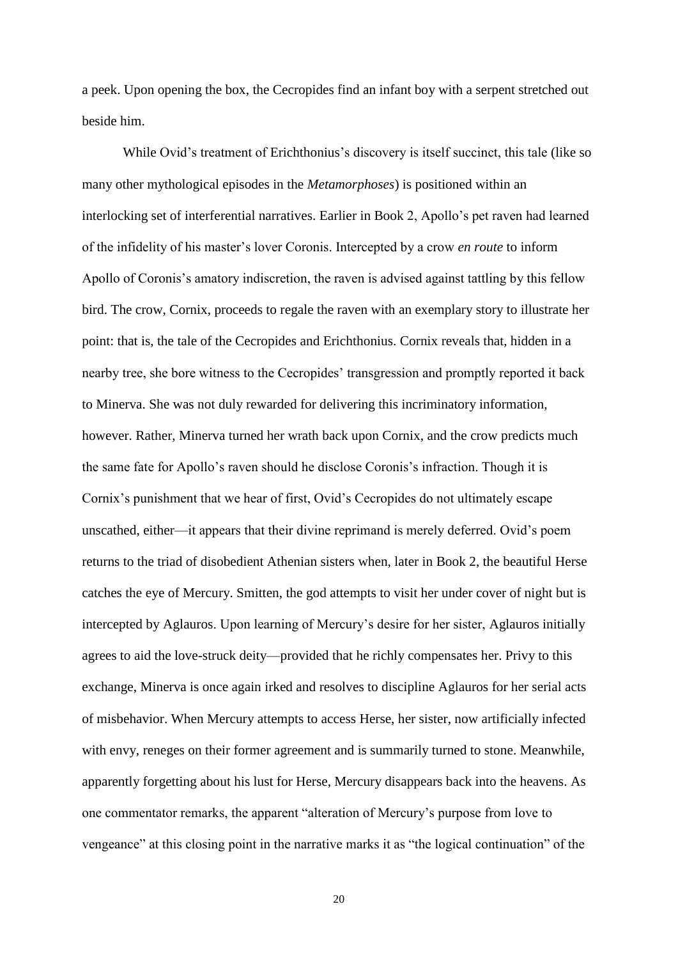a peek. Upon opening the box, the Cecropides find an infant boy with a serpent stretched out beside him.

While Ovid's treatment of Erichthonius's discovery is itself succinct, this tale (like so many other mythological episodes in the *Metamorphoses*) is positioned within an interlocking set of interferential narratives. Earlier in Book 2, Apollo's pet raven had learned of the infidelity of his master's lover Coronis. Intercepted by a crow *en route* to inform Apollo of Coronis's amatory indiscretion, the raven is advised against tattling by this fellow bird. The crow, Cornix, proceeds to regale the raven with an exemplary story to illustrate her point: that is, the tale of the Cecropides and Erichthonius. Cornix reveals that, hidden in a nearby tree, she bore witness to the Cecropides' transgression and promptly reported it back to Minerva. She was not duly rewarded for delivering this incriminatory information, however. Rather, Minerva turned her wrath back upon Cornix, and the crow predicts much the same fate for Apollo's raven should he disclose Coronis's infraction. Though it is Cornix's punishment that we hear of first, Ovid's Cecropides do not ultimately escape unscathed, either—it appears that their divine reprimand is merely deferred. Ovid's poem returns to the triad of disobedient Athenian sisters when, later in Book 2, the beautiful Herse catches the eye of Mercury. Smitten, the god attempts to visit her under cover of night but is intercepted by Aglauros. Upon learning of Mercury's desire for her sister, Aglauros initially agrees to aid the love-struck deity—provided that he richly compensates her. Privy to this exchange, Minerva is once again irked and resolves to discipline Aglauros for her serial acts of misbehavior. When Mercury attempts to access Herse, her sister, now artificially infected with envy, reneges on their former agreement and is summarily turned to stone. Meanwhile, apparently forgetting about his lust for Herse, Mercury disappears back into the heavens. As one commentator remarks, the apparent "alteration of Mercury's purpose from love to vengeance" at this closing point in the narrative marks it as "the logical continuation" of the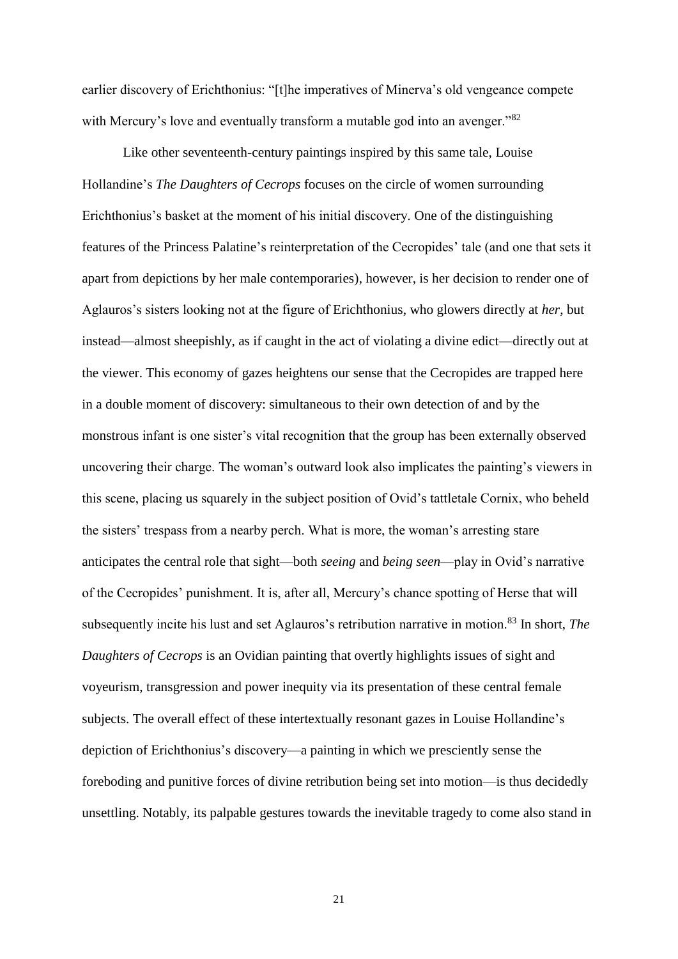earlier discovery of Erichthonius: "[t]he imperatives of Minerva's old vengeance compete with Mercury's love and eventually transform a mutable god into an avenger."<sup>82</sup>

Like other seventeenth-century paintings inspired by this same tale, Louise Hollandine's *The Daughters of Cecrops* focuses on the circle of women surrounding Erichthonius's basket at the moment of his initial discovery. One of the distinguishing features of the Princess Palatine's reinterpretation of the Cecropides' tale (and one that sets it apart from depictions by her male contemporaries), however, is her decision to render one of Aglauros's sisters looking not at the figure of Erichthonius, who glowers directly at *her*, but instead—almost sheepishly, as if caught in the act of violating a divine edict—directly out at the viewer. This economy of gazes heightens our sense that the Cecropides are trapped here in a double moment of discovery: simultaneous to their own detection of and by the monstrous infant is one sister's vital recognition that the group has been externally observed uncovering their charge. The woman's outward look also implicates the painting's viewers in this scene, placing us squarely in the subject position of Ovid's tattletale Cornix, who beheld the sisters' trespass from a nearby perch. What is more, the woman's arresting stare anticipates the central role that sight—both *seeing* and *being seen*—play in Ovid's narrative of the Cecropides' punishment. It is, after all, Mercury's chance spotting of Herse that will subsequently incite his lust and set Aglauros's retribution narrative in motion.<sup>83</sup> In short, *The Daughters of Cecrops* is an Ovidian painting that overtly highlights issues of sight and voyeurism, transgression and power inequity via its presentation of these central female subjects. The overall effect of these intertextually resonant gazes in Louise Hollandine's depiction of Erichthonius's discovery—a painting in which we presciently sense the foreboding and punitive forces of divine retribution being set into motion—is thus decidedly unsettling. Notably, its palpable gestures towards the inevitable tragedy to come also stand in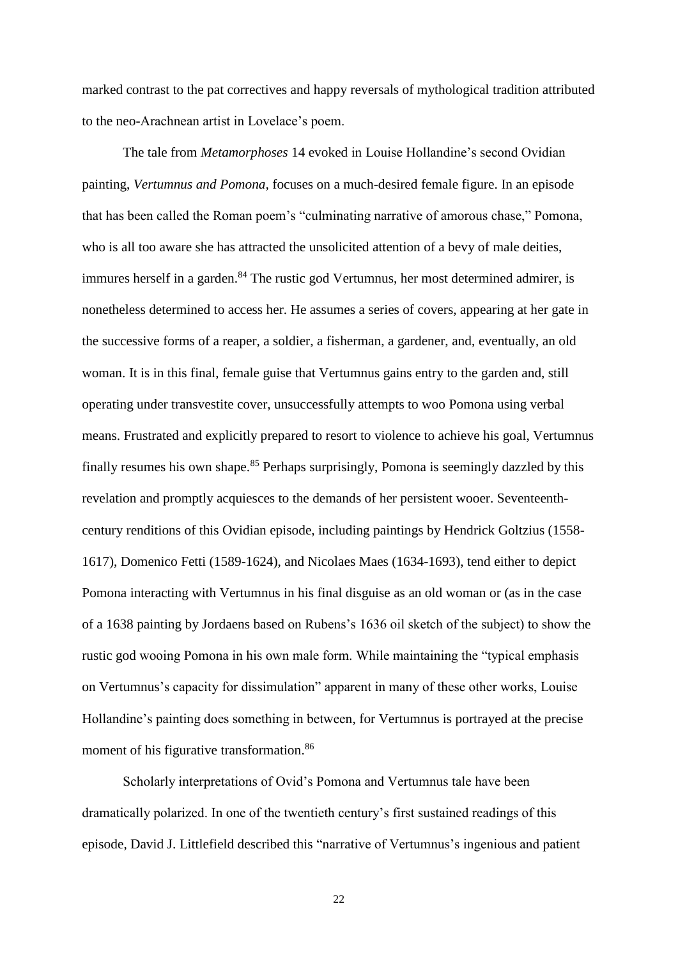marked contrast to the pat correctives and happy reversals of mythological tradition attributed to the neo-Arachnean artist in Lovelace's poem.

The tale from *Metamorphoses* 14 evoked in Louise Hollandine's second Ovidian painting, *Vertumnus and Pomona,* focuses on a much-desired female figure. In an episode that has been called the Roman poem's "culminating narrative of amorous chase," Pomona, who is all too aware she has attracted the unsolicited attention of a bevy of male deities, immures herself in a garden.<sup>84</sup> The rustic god Vertumnus, her most determined admirer, is nonetheless determined to access her. He assumes a series of covers, appearing at her gate in the successive forms of a reaper, a soldier, a fisherman, a gardener, and, eventually, an old woman. It is in this final, female guise that Vertumnus gains entry to the garden and, still operating under transvestite cover, unsuccessfully attempts to woo Pomona using verbal means. Frustrated and explicitly prepared to resort to violence to achieve his goal, Vertumnus finally resumes his own shape.<sup>85</sup> Perhaps surprisingly, Pomona is seemingly dazzled by this revelation and promptly acquiesces to the demands of her persistent wooer. Seventeenthcentury renditions of this Ovidian episode, including paintings by Hendrick Goltzius (1558- 1617), Domenico Fetti (1589-1624), and Nicolaes Maes (1634-1693), tend either to depict Pomona interacting with Vertumnus in his final disguise as an old woman or (as in the case of a 1638 painting by Jordaens based on Rubens's 1636 oil sketch of the subject) to show the rustic god wooing Pomona in his own male form. While maintaining the "typical emphasis on Vertumnus's capacity for dissimulation" apparent in many of these other works, Louise Hollandine's painting does something in between, for Vertumnus is portrayed at the precise moment of his figurative transformation.<sup>86</sup>

Scholarly interpretations of Ovid's Pomona and Vertumnus tale have been dramatically polarized. In one of the twentieth century's first sustained readings of this episode, David J. Littlefield described this "narrative of Vertumnus's ingenious and patient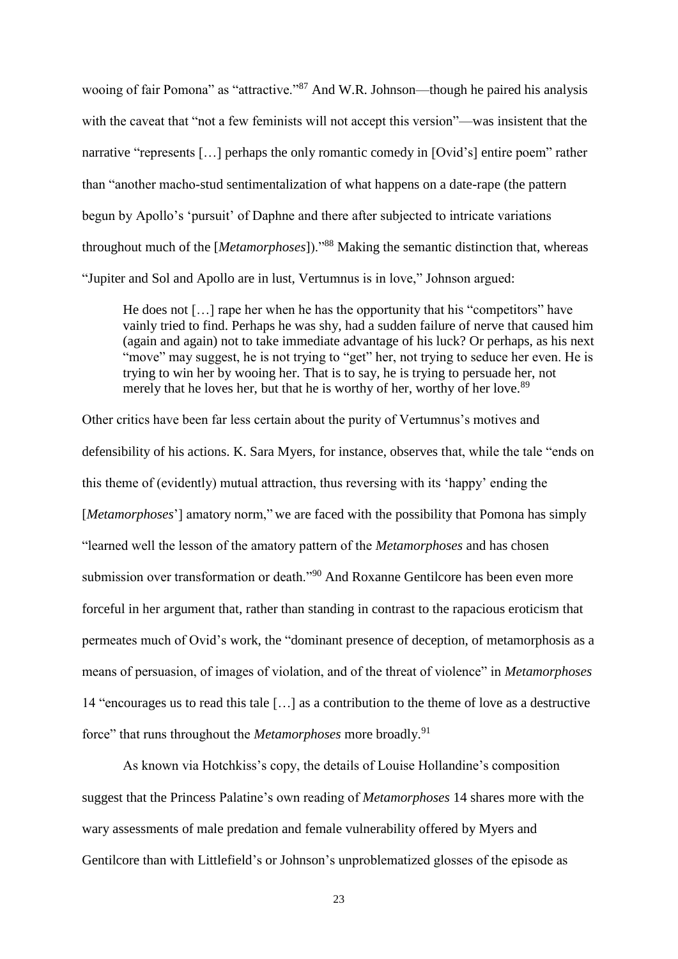wooing of fair Pomona" as "attractive."<sup>87</sup> And W.R. Johnson—though he paired his analysis with the caveat that "not a few feminists will not accept this version"—was insistent that the narrative "represents [...] perhaps the only romantic comedy in [Ovid's] entire poem" rather than "another macho-stud sentimentalization of what happens on a date-rape (the pattern begun by Apollo's 'pursuit' of Daphne and there after subjected to intricate variations throughout much of the [*Metamorphoses*])."<sup>88</sup> Making the semantic distinction that, whereas "Jupiter and Sol and Apollo are in lust, Vertumnus is in love," Johnson argued:

He does not [...] rape her when he has the opportunity that his "competitors" have vainly tried to find. Perhaps he was shy, had a sudden failure of nerve that caused him (again and again) not to take immediate advantage of his luck? Or perhaps, as his next "move" may suggest, he is not trying to "get" her, not trying to seduce her even. He is trying to win her by wooing her. That is to say, he is trying to persuade her, not merely that he loves her, but that he is worthy of her, worthy of her love.<sup>89</sup>

Other critics have been far less certain about the purity of Vertumnus's motives and defensibility of his actions. K. Sara Myers, for instance, observes that, while the tale "ends on this theme of (evidently) mutual attraction, thus reversing with its 'happy' ending the [*Metamorphoses*'] amatory norm," we are faced with the possibility that Pomona has simply "learned well the lesson of the amatory pattern of the *Metamorphoses* and has chosen submission over transformation or death."<sup>90</sup> And Roxanne Gentilcore has been even more forceful in her argument that, rather than standing in contrast to the rapacious eroticism that permeates much of Ovid's work, the "dominant presence of deception, of metamorphosis as a means of persuasion, of images of violation, and of the threat of violence" in *Metamorphoses* 14 "encourages us to read this tale […] as a contribution to the theme of love as a destructive force" that runs throughout the *Metamorphoses* more broadly.<sup>91</sup>

As known via Hotchkiss's copy, the details of Louise Hollandine's composition suggest that the Princess Palatine's own reading of *Metamorphoses* 14 shares more with the wary assessments of male predation and female vulnerability offered by Myers and Gentilcore than with Littlefield's or Johnson's unproblematized glosses of the episode as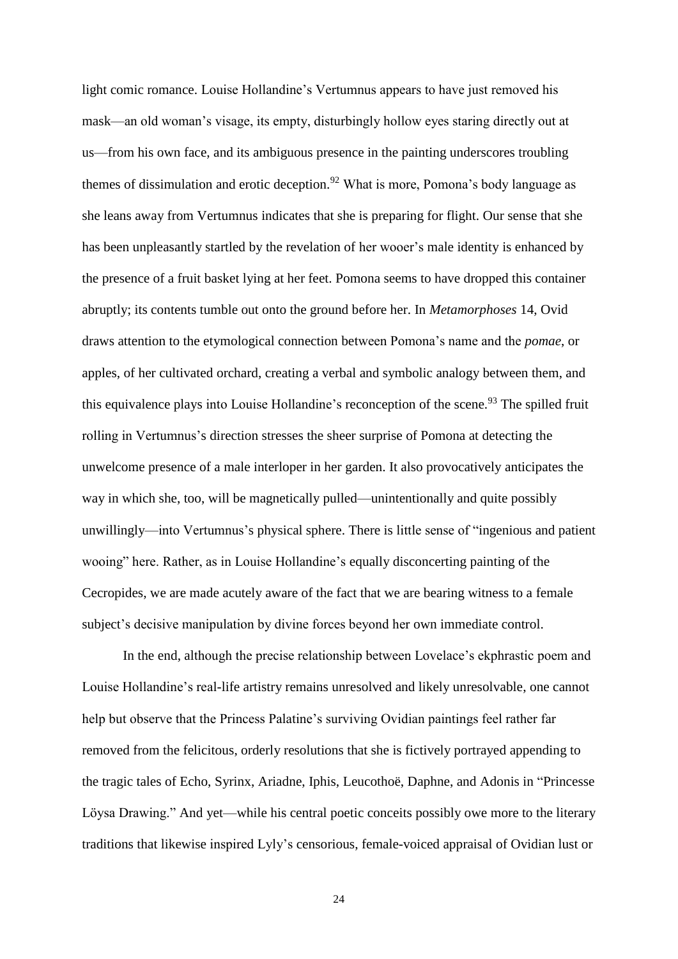light comic romance. Louise Hollandine's Vertumnus appears to have just removed his mask—an old woman's visage, its empty, disturbingly hollow eyes staring directly out at us—from his own face, and its ambiguous presence in the painting underscores troubling themes of dissimulation and erotic deception.<sup>92</sup> What is more, Pomona's body language as she leans away from Vertumnus indicates that she is preparing for flight. Our sense that she has been unpleasantly startled by the revelation of her wooer's male identity is enhanced by the presence of a fruit basket lying at her feet. Pomona seems to have dropped this container abruptly; its contents tumble out onto the ground before her. In *Metamorphoses* 14, Ovid draws attention to the etymological connection between Pomona's name and the *pomae*, or apples, of her cultivated orchard, creating a verbal and symbolic analogy between them, and this equivalence plays into Louise Hollandine's reconception of the scene.<sup>93</sup> The spilled fruit rolling in Vertumnus's direction stresses the sheer surprise of Pomona at detecting the unwelcome presence of a male interloper in her garden. It also provocatively anticipates the way in which she, too, will be magnetically pulled—unintentionally and quite possibly unwillingly—into Vertumnus's physical sphere. There is little sense of "ingenious and patient wooing" here. Rather, as in Louise Hollandine's equally disconcerting painting of the Cecropides, we are made acutely aware of the fact that we are bearing witness to a female subject's decisive manipulation by divine forces beyond her own immediate control.

In the end, although the precise relationship between Lovelace's ekphrastic poem and Louise Hollandine's real-life artistry remains unresolved and likely unresolvable, one cannot help but observe that the Princess Palatine's surviving Ovidian paintings feel rather far removed from the felicitous, orderly resolutions that she is fictively portrayed appending to the tragic tales of Echo, Syrinx, Ariadne, Iphis, Leucothoë, Daphne, and Adonis in "Princesse Löysa Drawing." And yet—while his central poetic conceits possibly owe more to the literary traditions that likewise inspired Lyly's censorious, female-voiced appraisal of Ovidian lust or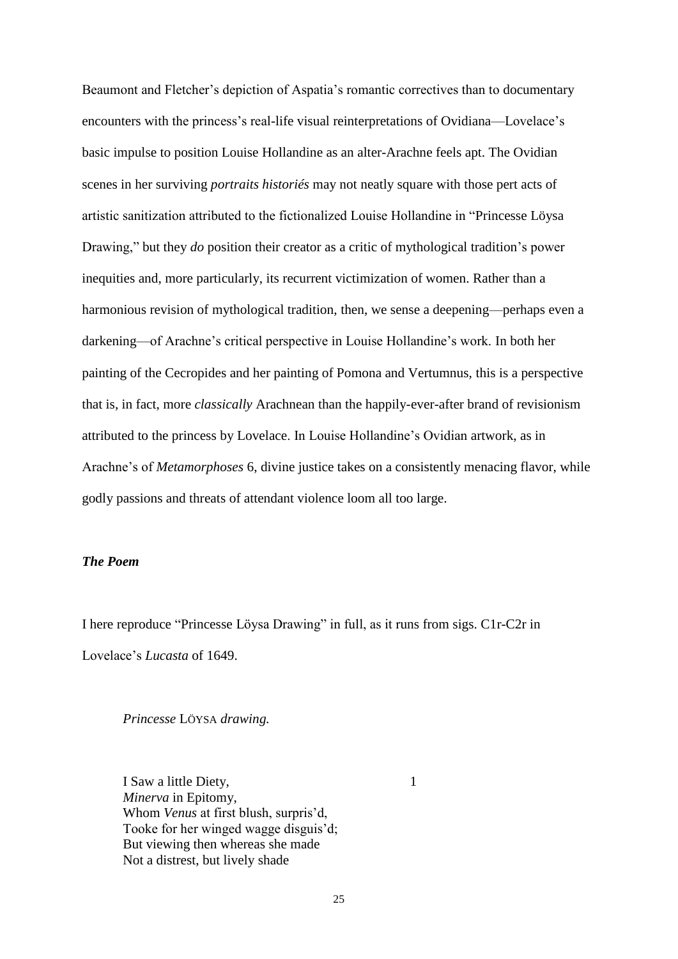Beaumont and Fletcher's depiction of Aspatia's romantic correctives than to documentary encounters with the princess's real-life visual reinterpretations of Ovidiana—Lovelace's basic impulse to position Louise Hollandine as an alter-Arachne feels apt. The Ovidian scenes in her surviving *portraits historiés* may not neatly square with those pert acts of artistic sanitization attributed to the fictionalized Louise Hollandine in "Princesse Löysa Drawing," but they *do* position their creator as a critic of mythological tradition's power inequities and, more particularly, its recurrent victimization of women. Rather than a harmonious revision of mythological tradition, then, we sense a deepening—perhaps even a darkening—of Arachne's critical perspective in Louise Hollandine's work. In both her painting of the Cecropides and her painting of Pomona and Vertumnus, this is a perspective that is, in fact, more *classically* Arachnean than the happily-ever-after brand of revisionism attributed to the princess by Lovelace. In Louise Hollandine's Ovidian artwork, as in Arachne's of *Metamorphoses* 6, divine justice takes on a consistently menacing flavor, while godly passions and threats of attendant violence loom all too large.

#### *The Poem*

I here reproduce "Princesse Löysa Drawing" in full, as it runs from sigs. C1r-C2r in Lovelace's *Lucasta* of 1649.

*Princesse* LÖYSA *drawing.*

I Saw a little Diety, 1 *Minerva* in Epitomy, Whom *Venus* at first blush, surpris'd, Tooke for her winged wagge disguis'd; But viewing then whereas she made Not a distrest, but lively shade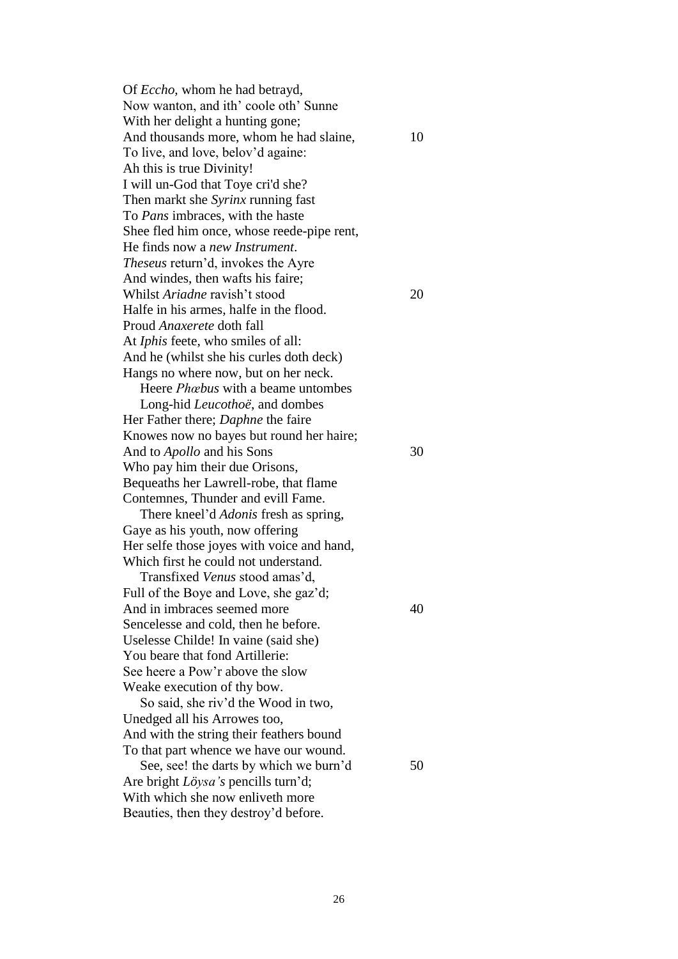Of *Eccho*, whom he had betrayd, Now wanton, and ith' coole oth' Sunne With her delight a hunting gone: And thousands more, whom he had slaine, 10 To live, and love, belov'd againe: Ah this is true Divinity! I will un-God that Toye cri'd she? Then markt she *Syrinx* running fast To *Pans* imbraces, with the haste Shee fled him once, whose reede-pipe rent, He finds now a *new Instrument*. *Theseus* return'd, invokes the Ayre And windes, then wafts his faire; Whilst *Ariadne* ravish't stood 20 Halfe in his armes, halfe in the flood. Proud *Anaxerete* doth fall At *Iphis* feete, who smiles of all: And he (whilst she his curles doth deck) Hangs no where now, but on her neck.

 Heere *Phœbus* with a beame untombes Long-hid *Leucothoë*, and dombes Her Father there; *Daphne* the faire Knowes now no bayes but round her haire; And to *Apollo* and his Sons 30 Who pay him their due Orisons, Bequeaths her Lawrell-robe, that flame Contemnes, Thunder and evill Fame.

 There kneel'd *Adonis* fresh as spring, Gaye as his youth, now offering Her selfe those joyes with voice and hand, Which first he could not understand.

 Transfixed *Venus* stood amas'd, Full of the Boye and Love, she gaz'd; And in imbraces seemed more 40 Sencelesse and cold, then he before. Uselesse Childe! In vaine (said she) You beare that fond Artillerie: See heere a Pow'r above the slow Weake execution of thy bow.

 So said, she riv'd the Wood in two, Unedged all his Arrowes too, And with the string their feathers bound To that part whence we have our wound.

See, see! the darts by which we burn'd 50 Are bright *Löysa's* pencills turn'd; With which she now enliveth more Beauties, then they destroy'd before.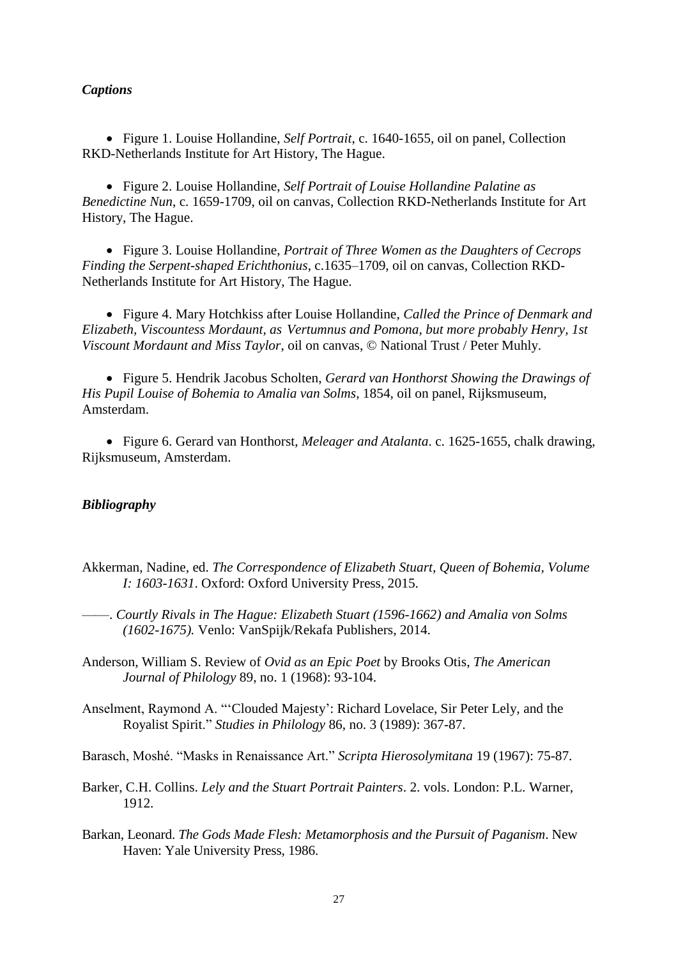## *Captions*

 Figure 1. Louise Hollandine, *Self Portrait*, c. 1640-1655, oil on panel, Collection RKD-Netherlands Institute for Art History, The Hague.

 Figure 2. Louise Hollandine, *Self Portrait of Louise Hollandine Palatine as Benedictine Nun*, c. 1659-1709, oil on canvas, Collection RKD-Netherlands Institute for Art History, The Hague.

 Figure 3. Louise Hollandine, *Portrait of Three Women as the Daughters of Cecrops Finding the Serpent-shaped Erichthonius*, c.1635–1709, oil on canvas, Collection RKD-Netherlands Institute for Art History, The Hague.

 Figure 4. Mary Hotchkiss after Louise Hollandine, *Called the Prince of Denmark and Elizabeth, Viscountess Mordaunt, as Vertumnus and Pomona, but more probably Henry, 1st Viscount Mordaunt and Miss Taylor*, oil on canvas, © National Trust / Peter Muhly.

 Figure 5. Hendrik Jacobus Scholten, *Gerard van Honthorst Showing the Drawings of His Pupil Louise of Bohemia to Amalia van Solms*, 1854, oil on panel, Rijksmuseum, Amsterdam.

 Figure 6. Gerard van Honthorst, *Meleager and Atalanta*. c. 1625-1655, chalk drawing, Rijksmuseum, Amsterdam.

### *Bibliography*

- Akkerman, Nadine, ed. *The Correspondence of Elizabeth Stuart, Queen of Bohemia, Volume I: 1603-1631*. Oxford: Oxford University Press, 2015.
- ——. *Courtly Rivals in The Hague: Elizabeth Stuart (1596-1662) and Amalia von Solms (1602-1675).* Venlo: VanSpijk/Rekafa Publishers, 2014.
- Anderson, William S. Review of *Ovid as an Epic Poet* by Brooks Otis, *The American Journal of Philology* 89, no. 1 (1968): 93-104.
- Anselment, Raymond A. "'Clouded Majesty': Richard Lovelace, Sir Peter Lely, and the Royalist Spirit." *Studies in Philology* 86, no. 3 (1989): 367-87.

Barasch, Moshé. "Masks in Renaissance Art." *Scripta Hierosolymitana* 19 (1967): 75-87.

- Barker, C.H. Collins. *Lely and the Stuart Portrait Painters*. 2. vols. London: P.L. Warner, 1912.
- Barkan, Leonard. *The Gods Made Flesh: Metamorphosis and the Pursuit of Paganism*. New Haven: Yale University Press, 1986.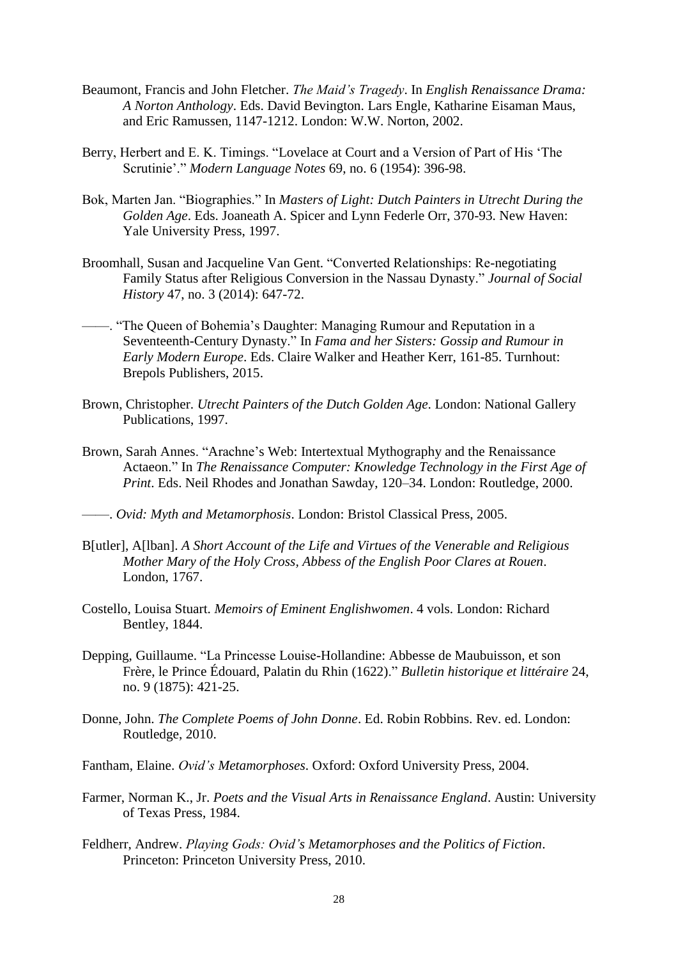- Beaumont, Francis and John Fletcher. *The Maid's Tragedy*. In *English Renaissance Drama: A Norton Anthology*. Eds. David Bevington. Lars Engle, Katharine Eisaman Maus, and Eric Ramussen, 1147-1212. London: W.W. Norton, 2002.
- Berry, Herbert and E. K. Timings. "Lovelace at Court and a Version of Part of His 'The Scrutinie'." *Modern Language Notes* 69, no. 6 (1954): 396-98.
- Bok, Marten Jan. "Biographies." In *Masters of Light: Dutch Painters in Utrecht During the Golden Age*. Eds. Joaneath A. Spicer and Lynn Federle Orr, 370-93. New Haven: Yale University Press, 1997.
- Broomhall, Susan and Jacqueline Van Gent. "Converted Relationships: Re-negotiating Family Status after Religious Conversion in the Nassau Dynasty." *Journal of Social History* 47, no. 3 (2014): 647-72.
- ——. "The Queen of Bohemia's Daughter: Managing Rumour and Reputation in a Seventeenth-Century Dynasty." In *Fama and her Sisters: Gossip and Rumour in Early Modern Europe*. Eds. Claire Walker and Heather Kerr, 161-85. Turnhout: Brepols Publishers, 2015.
- Brown, Christopher. *Utrecht Painters of the Dutch Golden Age*. London: National Gallery Publications, 1997.
- Brown, Sarah Annes. "Arachne's Web: Intertextual Mythography and the Renaissance Actaeon." In *The Renaissance Computer: Knowledge Technology in the First Age of Print*. Eds. Neil Rhodes and Jonathan Sawday, 120–34. London: Routledge, 2000.

——. *Ovid: Myth and Metamorphosis*. London: Bristol Classical Press, 2005.

- B[utler], A[lban]. *A Short Account of the Life and Virtues of the Venerable and Religious Mother Mary of the Holy Cross, Abbess of the English Poor Clares at Rouen*. London, 1767.
- Costello, Louisa Stuart. *Memoirs of Eminent Englishwomen*. 4 vols. London: Richard Bentley, 1844.
- Depping, Guillaume. "La Princesse Louise-Hollandine: Abbesse de Maubuisson, et son Frère, le Prince Édouard, Palatin du Rhin (1622)." *Bulletin historique et littéraire* 24, no. 9 (1875): 421-25.
- Donne, John. *The Complete Poems of John Donne*. Ed. Robin Robbins. Rev. ed. London: Routledge, 2010.
- Fantham, Elaine. *Ovid's Metamorphoses*. Oxford: Oxford University Press, 2004.
- Farmer, Norman K., Jr. *Poets and the Visual Arts in Renaissance England*. Austin: University of Texas Press, 1984.
- Feldherr, Andrew. *Playing Gods: Ovid's Metamorphoses and the Politics of Fiction*. Princeton: Princeton University Press, 2010.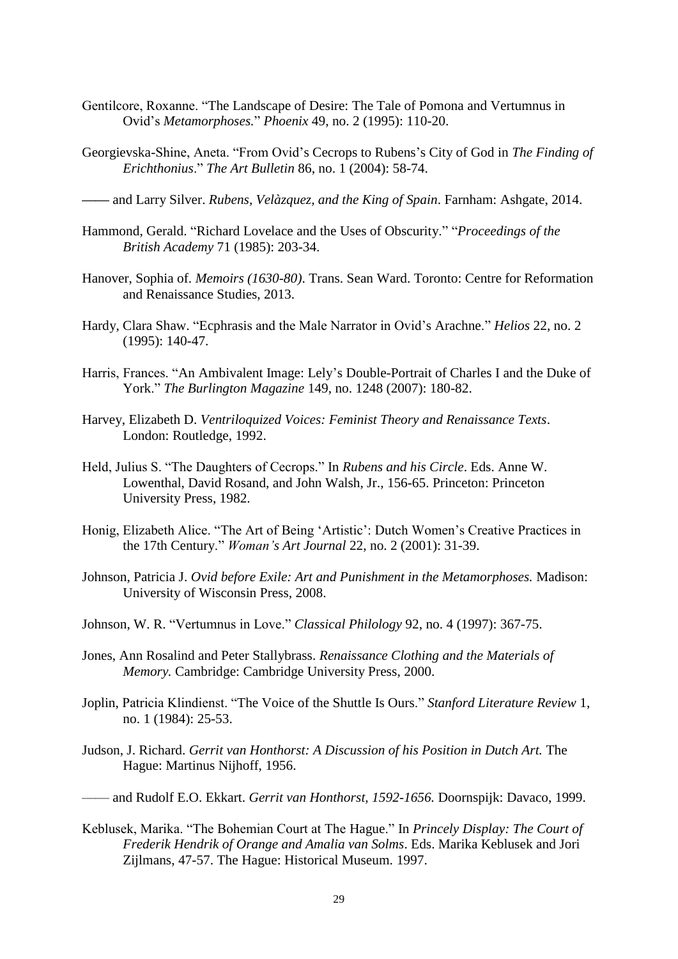- Gentilcore, Roxanne. "The Landscape of Desire: The Tale of Pomona and Vertumnus in Ovid's *Metamorphoses.*" *Phoenix* 49, no. 2 (1995): 110-20.
- Georgievska-Shine, Aneta. "From Ovid's Cecrops to Rubens's City of God in *The Finding of Erichthonius*." *The Art Bulletin* 86, no. 1 (2004): 58-74.
- **——** and Larry Silver. *Rubens, Velàzquez, and the King of Spain*. Farnham: Ashgate, 2014.
- Hammond, Gerald. "Richard Lovelace and the Uses of Obscurity." "*Proceedings of the British Academy* 71 (1985): 203-34.
- Hanover, Sophia of. *Memoirs (1630-80)*. Trans. Sean Ward. Toronto: Centre for Reformation and Renaissance Studies, 2013.
- Hardy, Clara Shaw. "Ecphrasis and the Male Narrator in Ovid's Arachne." *Helios* 22, no. 2 (1995): 140-47.
- Harris, Frances. "An Ambivalent Image: Lely's Double-Portrait of Charles I and the Duke of York." *The Burlington Magazine* 149, no. 1248 (2007): 180-82.
- Harvey, Elizabeth D. *Ventriloquized Voices: Feminist Theory and Renaissance Texts*. London: Routledge, 1992.
- Held, Julius S. "The Daughters of Cecrops." In *Rubens and his Circle*. Eds. Anne W. Lowenthal, David Rosand, and John Walsh, Jr., 156-65. Princeton: Princeton University Press, 1982.
- Honig, Elizabeth Alice. "The Art of Being 'Artistic': Dutch Women's Creative Practices in the 17th Century." *Woman's Art Journal* 22, no. 2 (2001): 31-39.
- Johnson, Patricia J. *Ovid before Exile: Art and Punishment in the Metamorphoses.* Madison: University of Wisconsin Press, 2008.
- Johnson, W. R. "Vertumnus in Love." *Classical Philology* 92, no. 4 (1997): 367-75.
- Jones, Ann Rosalind and Peter Stallybrass. *Renaissance Clothing and the Materials of Memory.* Cambridge: Cambridge University Press, 2000.
- Joplin, Patricia Klindienst. "The Voice of the Shuttle Is Ours." *Stanford Literature Review* 1, no. 1 (1984): 25-53.
- Judson, J. Richard. *Gerrit van Honthorst: A Discussion of his Position in Dutch Art.* The Hague: Martinus Nijhoff, 1956.
- —— and Rudolf E.O. Ekkart. *Gerrit van Honthorst, 1592-1656.* Doornspijk: Davaco, 1999.
- Keblusek, Marika. "The Bohemian Court at The Hague." In *Princely Display: The Court of Frederik Hendrik of Orange and Amalia van Solms*. Eds. Marika Keblusek and Jori Zijlmans, 47-57. The Hague: Historical Museum. 1997.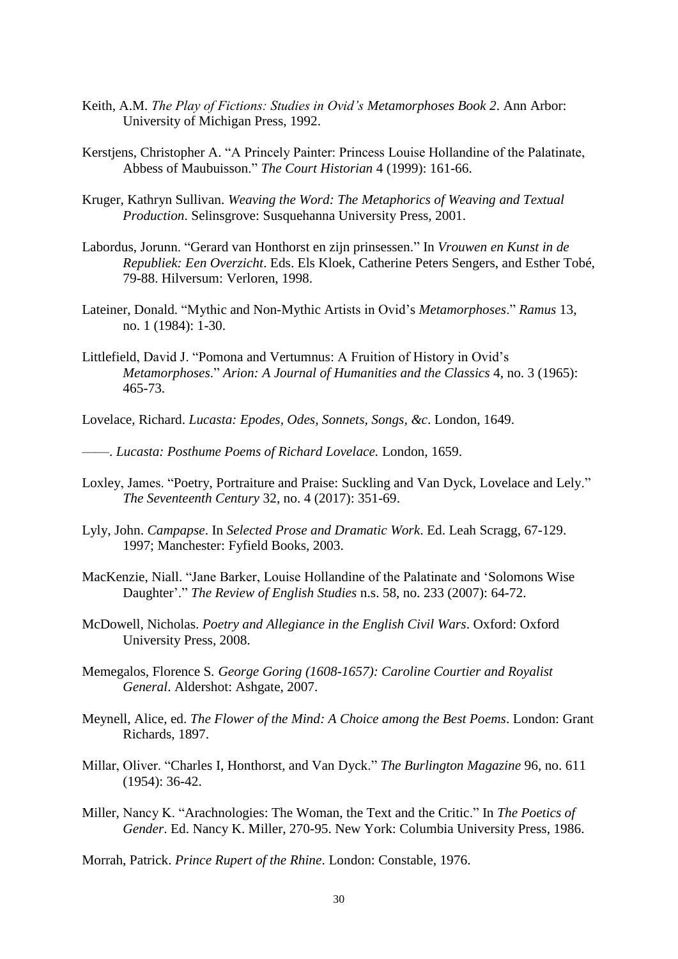- Keith, A.M. *The Play of Fictions: Studies in Ovid's Metamorphoses Book 2*. Ann Arbor: University of Michigan Press, 1992.
- Kerstjens, Christopher A. "A Princely Painter: Princess Louise Hollandine of the Palatinate, Abbess of Maubuisson." *The Court Historian* 4 (1999): 161-66.
- Kruger, Kathryn Sullivan. *Weaving the Word: The Metaphorics of Weaving and Textual Production*. Selinsgrove: Susquehanna University Press, 2001.
- Labordus, Jorunn. "Gerard van Honthorst en zijn prinsessen." In *Vrouwen en Kunst in de Republiek: Een Overzicht*. Eds. Els Kloek, Catherine Peters Sengers, and Esther Tobé, 79-88. Hilversum: Verloren, 1998.
- Lateiner, Donald. "Mythic and Non-Mythic Artists in Ovid's *Metamorphoses*." *Ramus* 13, no. 1 (1984): 1-30.
- Littlefield, David J. "Pomona and Vertumnus: A Fruition of History in Ovid's *Metamorphoses*." *Arion: A Journal of Humanities and the Classics* 4, no. 3 (1965): 465-73.
- Lovelace, Richard. *Lucasta: Epodes, Odes, Sonnets, Songs, &c*. London, 1649.

——. *Lucasta: Posthume Poems of Richard Lovelace.* London, 1659.

- Loxley, James. "Poetry, Portraiture and Praise: Suckling and Van Dyck, Lovelace and Lely." *The Seventeenth Century* 32, no. 4 (2017): 351-69.
- Lyly, John. *Campapse*. In *Selected Prose and Dramatic Work*. Ed. Leah Scragg, 67-129. 1997; Manchester: Fyfield Books, 2003.
- MacKenzie, Niall. "Jane Barker, Louise Hollandine of the Palatinate and 'Solomons Wise Daughter'." *The Review of English Studies* n.s. 58, no. 233 (2007): 64-72.
- McDowell, Nicholas. *Poetry and Allegiance in the English Civil Wars*. Oxford: Oxford University Press, 2008.
- Memegalos, Florence S*. George Goring (1608-1657): Caroline Courtier and Royalist General*. Aldershot: Ashgate, 2007.
- Meynell, Alice, ed. *The Flower of the Mind: A Choice among the Best Poems*. London: Grant Richards, 1897.
- Millar, Oliver. "Charles I, Honthorst, and Van Dyck." *The Burlington Magazine* 96, no. 611 (1954): 36-42.
- Miller, Nancy K. "Arachnologies: The Woman, the Text and the Critic." In *The Poetics of Gender*. Ed. Nancy K. Miller, 270-95. New York: Columbia University Press, 1986.

Morrah, Patrick. *Prince Rupert of the Rhine*. London: Constable, 1976.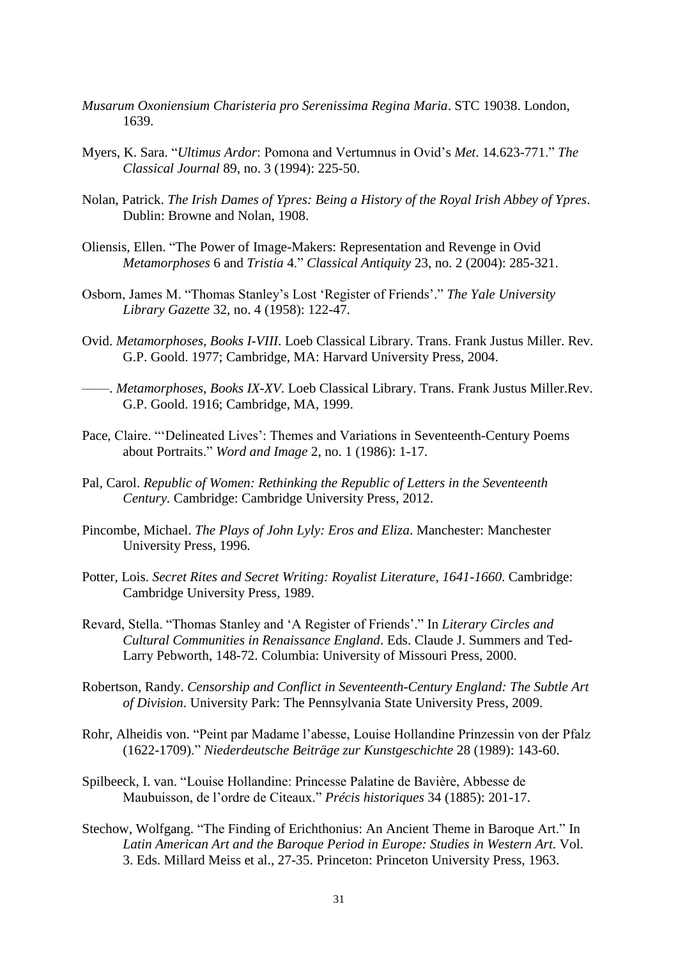- *Musarum Oxoniensium Charisteria pro Serenissima Regina Maria*. STC 19038. London, 1639.
- Myers, K. Sara. "*Ultimus Ardor*: Pomona and Vertumnus in Ovid's *Met*. 14.623-771." *The Classical Journal* 89, no. 3 (1994): 225-50.
- Nolan, Patrick. *The Irish Dames of Ypres: Being a History of the Royal Irish Abbey of Ypres*. Dublin: Browne and Nolan, 1908.
- Oliensis, Ellen. "The Power of Image-Makers: Representation and Revenge in Ovid *Metamorphoses* 6 and *Tristia* 4." *Classical Antiquity* 23, no. 2 (2004): 285-321.
- Osborn, James M. "Thomas Stanley's Lost 'Register of Friends'." *The Yale University Library Gazette* 32, no. 4 (1958): 122-47.
- Ovid. *Metamorphoses, Books I-VIII*. Loeb Classical Library. Trans. Frank Justus Miller. Rev. G.P. Goold. 1977; Cambridge, MA: Harvard University Press, 2004.
- ——. *Metamorphoses, Books IX-XV*. Loeb Classical Library. Trans. Frank Justus Miller.Rev. G.P. Goold. 1916; Cambridge, MA, 1999.
- Pace, Claire. "'Delineated Lives': Themes and Variations in Seventeenth-Century Poems about Portraits." *Word and Image* 2, no. 1 (1986): 1-17.
- Pal, Carol. *Republic of Women: Rethinking the Republic of Letters in the Seventeenth Century.* Cambridge: Cambridge University Press, 2012.
- Pincombe, Michael. *The Plays of John Lyly: Eros and Eliza*. Manchester: Manchester University Press, 1996.
- Potter, Lois. *Secret Rites and Secret Writing: Royalist Literature, 1641-1660*. Cambridge: Cambridge University Press, 1989.
- Revard, Stella. "Thomas Stanley and 'A Register of Friends'." In *Literary Circles and Cultural Communities in Renaissance England*. Eds. Claude J. Summers and Ted-Larry Pebworth, 148-72. Columbia: University of Missouri Press, 2000.
- Robertson, Randy. *Censorship and Conflict in Seventeenth-Century England: The Subtle Art of Division*. University Park: The Pennsylvania State University Press, 2009.
- Rohr, Alheidis von. "Peint par Madame l'abesse, Louise Hollandine Prinzessin von der Pfalz (1622-1709)." *Niederdeutsche Beiträge zur Kunstgeschichte* 28 (1989): 143-60.
- Spilbeeck, I. van. "Louise Hollandine: Princesse Palatine de Bavière, Abbesse de Maubuisson, de l'ordre de Citeaux." *Précis historiques* 34 (1885): 201-17.
- Stechow, Wolfgang. "The Finding of Erichthonius: An Ancient Theme in Baroque Art." In *Latin American Art and the Baroque Period in Europe: Studies in Western Art*. Vol. 3. Eds. Millard Meiss et al., 27-35. Princeton: Princeton University Press, 1963.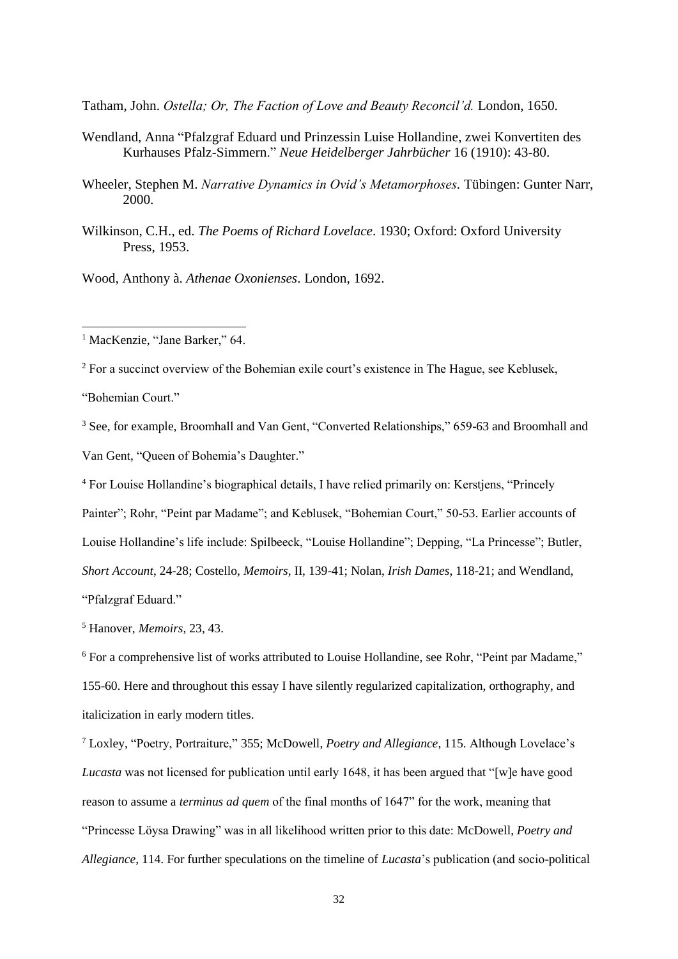Tatham, John. *Ostella; Or, The Faction of Love and Beauty Reconcil'd.* London, 1650.

- Wendland, Anna "Pfalzgraf Eduard und Prinzessin Luise Hollandine, zwei Konvertiten des Kurhauses Pfalz-Simmern." *Neue Heidelberger Jahrbücher* 16 (1910): 43-80.
- Wheeler, Stephen M. *Narrative Dynamics in Ovid's Metamorphoses.* Tübingen: Gunter Narr, 2000.
- Wilkinson, C.H., ed. *The Poems of Richard Lovelace*. 1930; Oxford: Oxford University Press, 1953.

Wood, Anthony à. *Athenae Oxonienses*. London, 1692.

<sup>2</sup> For a succinct overview of the Bohemian exile court's existence in The Hague, see Keblusek,

"Bohemian Court."

**.** 

<sup>3</sup> See, for example, Broomhall and Van Gent, "Converted Relationships," 659-63 and Broomhall and Van Gent, "Queen of Bohemia's Daughter."

<sup>4</sup> For Louise Hollandine's biographical details, I have relied primarily on: Kerstjens, "Princely Painter"; Rohr, "Peint par Madame"; and Keblusek, "Bohemian Court," 50-53. Earlier accounts of Louise Hollandine's life include: Spilbeeck, "Louise Hollandine"; Depping, "La Princesse"; Butler, *Short Account*, 24-28; Costello, *Memoirs*, II, 139-41; Nolan, *Irish Dames*, 118-21; and Wendland, "Pfalzgraf Eduard."

<sup>5</sup> Hanover, *Memoirs*, 23, 43.

<sup>6</sup> For a comprehensive list of works attributed to Louise Hollandine, see Rohr, "Peint par Madame," 155-60. Here and throughout this essay I have silently regularized capitalization, orthography, and italicization in early modern titles.

<sup>7</sup> Loxley, "Poetry, Portraiture," 355; McDowell, *Poetry and Allegiance*, 115. Although Lovelace's *Lucasta* was not licensed for publication until early 1648, it has been argued that "[w]e have good reason to assume a *terminus ad quem* of the final months of 1647" for the work, meaning that "Princesse Löysa Drawing" was in all likelihood written prior to this date: McDowell, *Poetry and Allegiance*, 114. For further speculations on the timeline of *Lucasta*'s publication (and socio-political

<sup>&</sup>lt;sup>1</sup> MacKenzie, "Jane Barker," 64.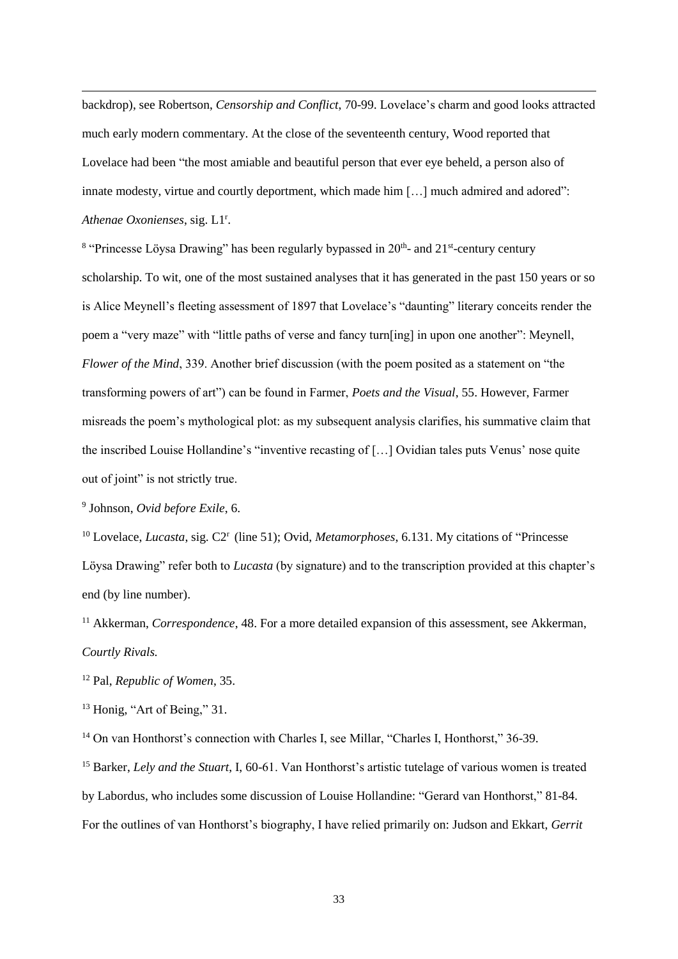backdrop), see Robertson, *Censorship and Conflict*, 70-99. Lovelace's charm and good looks attracted much early modern commentary. At the close of the seventeenth century, Wood reported that Lovelace had been "the most amiable and beautiful person that ever eye beheld, a person also of innate modesty, virtue and courtly deportment, which made him […] much admired and adored": *Athenae Oxonienses*, sig. L1<sup>r</sup> .

<sup>8</sup> "Princesse Löysa Drawing" has been regularly bypassed in  $20<sup>th</sup>$ - and  $21<sup>st</sup>$ -century century scholarship. To wit, one of the most sustained analyses that it has generated in the past 150 years or so is Alice Meynell's fleeting assessment of 1897 that Lovelace's "daunting" literary conceits render the poem a "very maze" with "little paths of verse and fancy turn[ing] in upon one another": Meynell, *Flower of the Mind*, 339. Another brief discussion (with the poem posited as a statement on "the transforming powers of art") can be found in Farmer, *Poets and the Visual*, 55. However, Farmer misreads the poem's mythological plot: as my subsequent analysis clarifies, his summative claim that the inscribed Louise Hollandine's "inventive recasting of […] Ovidian tales puts Venus' nose quite out of joint" is not strictly true.

9 Johnson, *Ovid before Exile*, 6.

1

<sup>10</sup> Lovelace, *Lucasta*, sig. C2<sup>r</sup> (line 51); Ovid, *Metamorphoses*, 6.131. My citations of "Princesse" Löysa Drawing" refer both to *Lucasta* (by signature) and to the transcription provided at this chapter's end (by line number).

<sup>11</sup> Akkerman, *Correspondence*, 48. For a more detailed expansion of this assessment, see Akkerman, *Courtly Rivals.*

<sup>12</sup> Pal, *Republic of Women*, 35.

<sup>13</sup> Honig, "Art of Being," 31.

<sup>14</sup> On van Honthorst's connection with Charles I, see Millar, "Charles I, Honthorst," 36-39.

<sup>15</sup> Barker, *Lely and the Stuart*, I, 60-61. Van Honthorst's artistic tutelage of various women is treated by Labordus, who includes some discussion of Louise Hollandine: "Gerard van Honthorst," 81-84. For the outlines of van Honthorst's biography, I have relied primarily on: Judson and Ekkart, *Gerrit*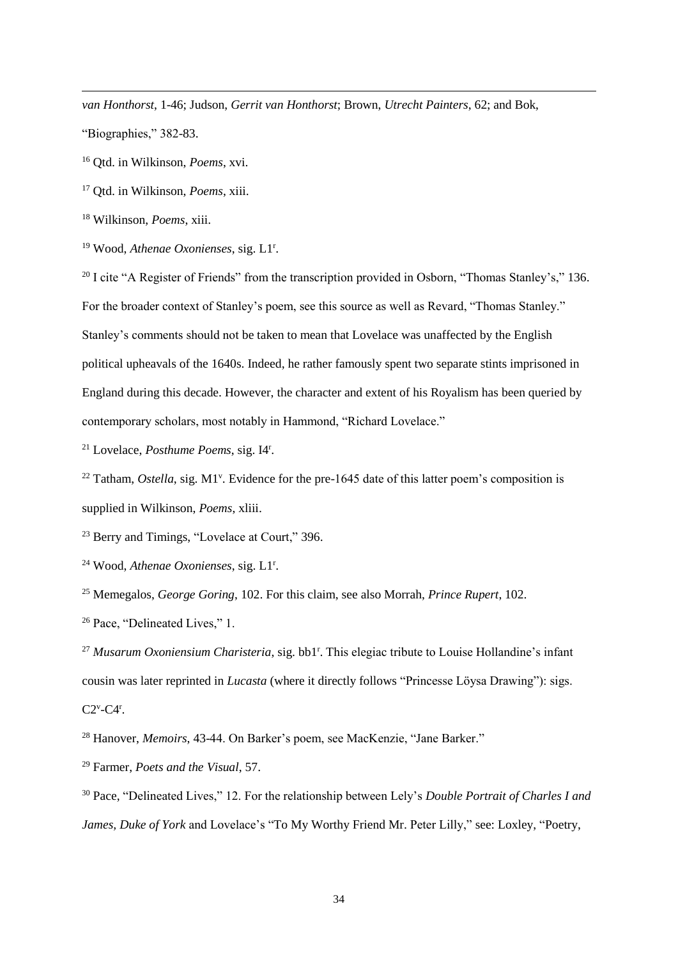*van Honthorst*, 1-46; Judson, *Gerrit van Honthorst*; Brown, *Utrecht Painters*, 62; and Bok, "Biographies," 382-83.

<sup>16</sup> Qtd. in Wilkinson, *Poems*, xvi.

<sup>17</sup> Qtd. in Wilkinson, *Poems*, xiii.

<sup>18</sup> Wilkinson, *Poems*, xiii.

1

<sup>19</sup> Wood, Athenae Oxonienses, sig. L1<sup>r</sup>.

<sup>20</sup> I cite "A Register of Friends" from the transcription provided in Osborn, "Thomas Stanley's," 136. For the broader context of Stanley's poem, see this source as well as Revard, "Thomas Stanley." Stanley's comments should not be taken to mean that Lovelace was unaffected by the English political upheavals of the 1640s. Indeed, he rather famously spent two separate stints imprisoned in England during this decade. However, the character and extent of his Royalism has been queried by contemporary scholars, most notably in Hammond, "Richard Lovelace."

<sup>21</sup> Lovelace, *Posthume Poems*, sig. I4<sup>r</sup> .

 $^{22}$  Tatham, *Ostella*, sig. M1<sup>v</sup>. Evidence for the pre-1645 date of this latter poem's composition is supplied in Wilkinson, *Poems*, xliii.

<sup>23</sup> Berry and Timings, "Lovelace at Court," 396.

<sup>24</sup> Wood, *Athenae Oxonienses*, sig. L1<sup>r</sup> .

<sup>25</sup> Memegalos, *George Goring*, 102. For this claim, see also Morrah, *Prince Rupert*, 102.

<sup>26</sup> Pace, "Delineated Lives," 1.

<sup>27</sup> Musarum Oxoniensium Charisteria, sig. bb1<sup>r</sup>. This elegiac tribute to Louise Hollandine's infant cousin was later reprinted in *Lucasta* (where it directly follows "Princesse Löysa Drawing"): sigs.  $C2^{\nu}$ -C4<sup>r</sup>.

<sup>28</sup> Hanover, *Memoirs*, 43-44. On Barker's poem, see MacKenzie, "Jane Barker."

<sup>29</sup> Farmer, *Poets and the Visual*, 57.

<sup>30</sup> Pace, "Delineated Lives," 12. For the relationship between Lely's *Double Portrait of Charles I and James, Duke of York* and Lovelace's "To My Worthy Friend Mr. Peter Lilly," see: Loxley, "Poetry,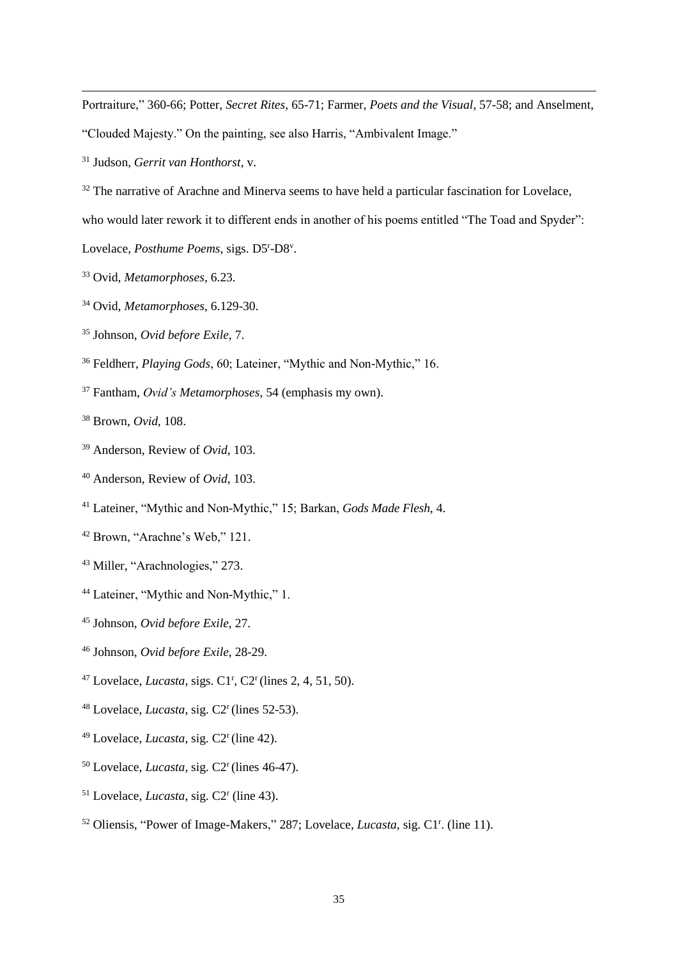Portraiture," 360-66; Potter, *Secret Rites*, 65-71; Farmer, *Poets and the Visual*, 57-58; and Anselment,

"Clouded Majesty." On the painting, see also Harris, "Ambivalent Image."

Judson, *Gerrit van Honthorst*, v.

The narrative of Arachne and Minerva seems to have held a particular fascination for Lovelace,

who would later rework it to different ends in another of his poems entitled "The Toad and Spyder":

Lovelace, Posthume Poems, sigs. D5<sup>r</sup>-D8<sup>v</sup>.

Ovid, *Metamorphoses*, 6.23.

- Ovid, *Metamorphoses*, 6.129-30.
- Johnson, *Ovid before Exile*, 7.
- Feldherr, *Playing Gods*, 60; Lateiner, "Mythic and Non-Mythic," 16.
- Fantham, *Ovid's Metamorphoses*, 54 (emphasis my own).

Brown, *Ovid*, 108.

- Anderson, Review of *Ovid*, 103.
- Anderson, Review of *Ovid*, 103.
- Lateiner, "Mythic and Non-Mythic," 15; Barkan, *Gods Made Flesh*, 4.
- Brown, "Arachne's Web," 121.
- Miller, "Arachnologies," 273.
- <sup>44</sup> Lateiner, "Mythic and Non-Mythic," 1.
- Johnson, *Ovid before Exile*, 27.
- Johnson, *Ovid before Exile*, 28-29.
- <sup>47</sup> Lovelace, *Lucasta*, sigs. C1<sup>r</sup>, C2<sup>r</sup> (lines 2, 4, 51, 50).
- <sup>48</sup> Lovelace, *Lucasta*, sig. C<sub>2</sub><sup>r</sup> (lines 52-53).
- <sup>49</sup> Lovelace, *Lucasta*, sig. C2<sup>r</sup> (line 42).
- Lovelace, *Lucasta*, sig. C2<sup>r</sup> (lines 46-47).
- Lovelace, *Lucasta*, sig. C2<sup>r</sup> (line 43).
- Oliensis, "Power of Image-Makers," 287; Lovelace, *Lucasta*, sig. C1<sup>r</sup> . (line 11).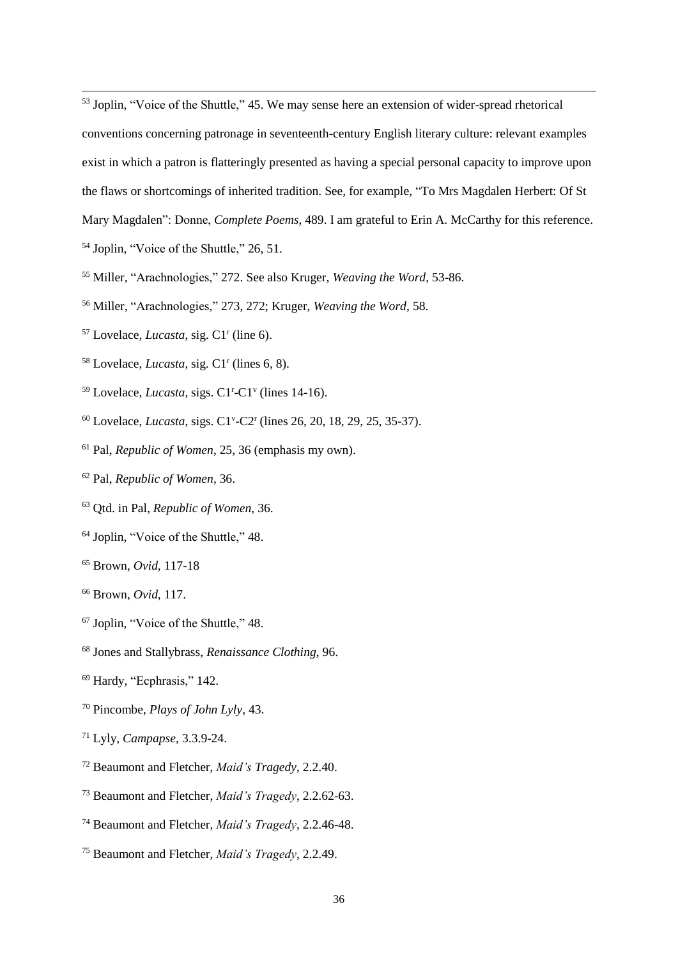<sup>53</sup> Joplin, "Voice of the Shuttle," 45. We may sense here an extension of wider-spread rhetorical conventions concerning patronage in seventeenth-century English literary culture: relevant examples exist in which a patron is flatteringly presented as having a special personal capacity to improve upon the flaws or shortcomings of inherited tradition. See, for example, "To Mrs Magdalen Herbert: Of St Mary Magdalen": Donne, *Complete Poems*, 489. I am grateful to Erin A. McCarthy for this reference. <sup>54</sup> Joplin, "Voice of the Shuttle," 26, 51.

- Miller, "Arachnologies," 272. See also Kruger, *Weaving the Word*, 53-86.
- Miller, "Arachnologies," 273, 272; Kruger, *Weaving the Word*, 58.
- Lovelace, *Lucasta*, sig. C1<sup>r</sup> (line 6).
- Lovelace, *Lucasta*, sig. C1<sup>r</sup> (lines 6, 8).
- <sup>59</sup> Lovelace, *Lucasta*, sigs. C1<sup>*r*</sup>-C1<sup>*v*</sup> (lines 14-16).
- Lovelace, *Lucasta*, sigs. C1<sup>v</sup> -C2<sup>r</sup> (lines 26, 20, 18, 29, 25, 35-37).
- Pal, *Republic of Women*, 25, 36 (emphasis my own).
- Pal, *Republic of Women*, 36.
- Qtd. in Pal, *Republic of Women*, 36.
- <sup>64</sup> Joplin, "Voice of the Shuttle," 48.
- Brown, *Ovid*, 117-18
- Brown, *Ovid*, 117.
- Joplin, "Voice of the Shuttle," 48.
- Jones and Stallybrass, *Renaissance Clothing*, 96.
- Hardy, "Ecphrasis," 142.
- Pincombe, *Plays of John Lyly*, 43.
- Lyly, *Campapse*, 3.3.9-24.
- Beaumont and Fletcher, *Maid's Tragedy*, 2.2.40.
- Beaumont and Fletcher, *Maid's Tragedy*, 2.2.62-63.
- Beaumont and Fletcher, *Maid's Tragedy*, 2.2.46-48.
- Beaumont and Fletcher, *Maid's Tragedy*, 2.2.49.